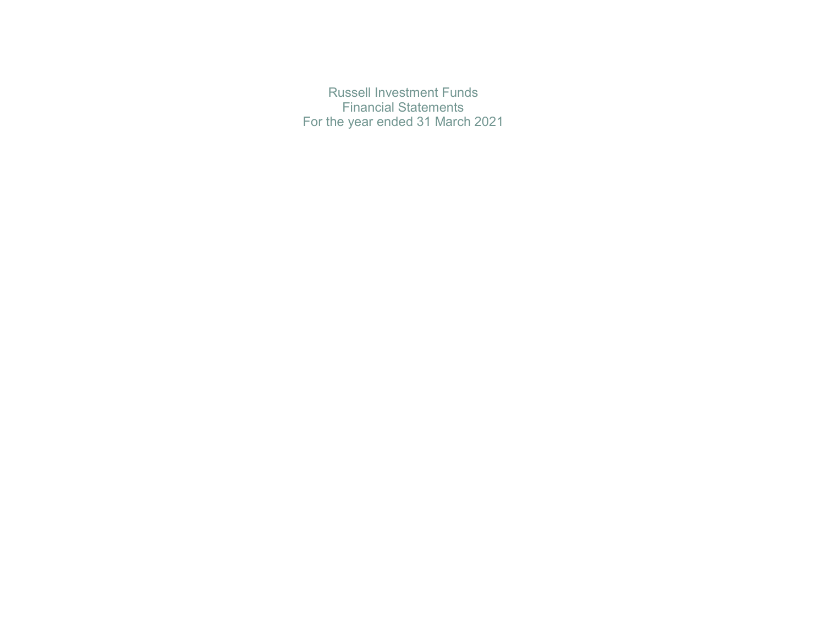Russell Investment Funds Financial Statements For the year ended 31 March 2021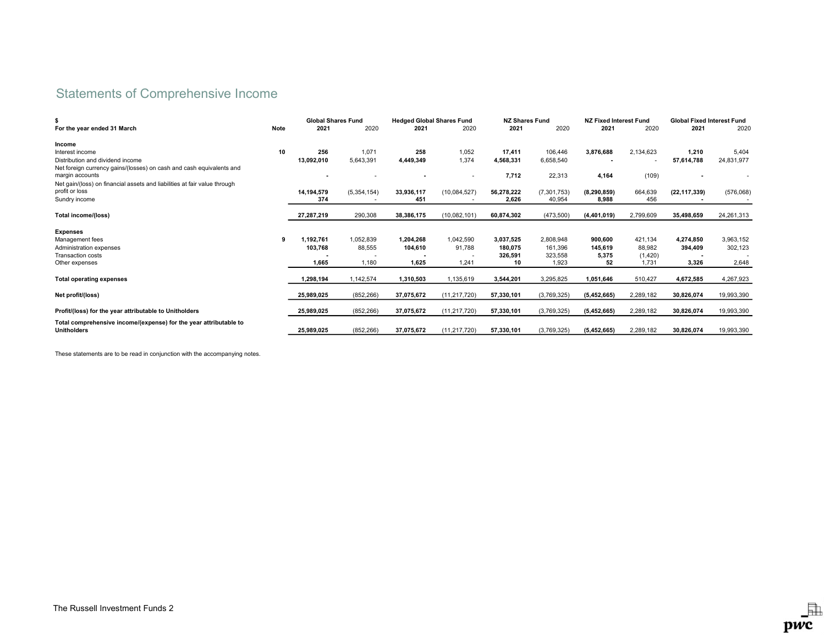# Statements of Comprehensive Income

|                                                                                         |      | <b>Global Shares Fund</b> |                          | <b>Hedged Global Shares Fund</b> |                | <b>NZ Shares Fund</b> |               | <b>NZ Fixed Interest Fund</b> |           | <b>Global Fixed Interest Fund</b> |            |
|-----------------------------------------------------------------------------------------|------|---------------------------|--------------------------|----------------------------------|----------------|-----------------------|---------------|-------------------------------|-----------|-----------------------------------|------------|
| For the year ended 31 March                                                             | Note | 2021                      | 2020                     | 2021                             | 2020           | 2021                  | 2020          | 2021                          | 2020      | 2021                              | 2020       |
| Income                                                                                  |      |                           |                          |                                  |                |                       |               |                               |           |                                   |            |
| Interest income                                                                         | 10   | 256                       | 1,071                    | 258                              | 1,052          | 17,411                | 106,446       | 3,876,688                     | 2,134,623 | 1,210                             | 5,404      |
| Distribution and dividend income                                                        |      | 13,092,010                | 5,643,391                | 4,449,349                        | 1,374          | 4,568,331             | 6,658,540     | ۰.                            |           | 57,614,788                        | 24,831,977 |
| Net foreign currency gains/(losses) on cash and cash equivalents and<br>margin accounts |      |                           | ٠                        |                                  |                | 7,712                 | 22,313        | 4,164                         | (109)     |                                   |            |
| Net gain/(loss) on financial assets and liabilities at fair value through               |      |                           |                          |                                  |                |                       |               |                               |           |                                   |            |
| profit or loss                                                                          |      | 14,194,579                | (5, 354, 154)            | 33,936,117                       | (10,084,527)   | 56,278,222            | (7, 301, 753) | (8, 290, 859)                 | 664,639   | (22, 117, 339)                    | (576,068)  |
| Sundry income                                                                           |      | 374                       | $\overline{\phantom{a}}$ | 451                              |                | 2,626                 | 40,954        | 8,988                         | 456       |                                   |            |
| Total income/(loss)                                                                     |      | 27,287,219                | 290,308                  | 38,386,175                       | (10,082,101)   | 60,874,302            | (473,500)     | (4,401,019)                   | 2,799,609 | 35,498,659                        | 24,261,313 |
| <b>Expenses</b>                                                                         |      |                           |                          |                                  |                |                       |               |                               |           |                                   |            |
| Management fees                                                                         | 9    | 1,192,761                 | 1,052,839                | 1,204,268                        | 1,042,590      | 3,037,525             | 2,808,948     | 900,600                       | 421,134   | 4,274,850                         | 3,963,152  |
| Administration expenses                                                                 |      | 103,768                   | 88,555                   | 104,610                          | 91.788         | 180.075               | 161.396       | 145.619                       | 88,982    | 394.409                           | 302,123    |
| <b>Transaction costs</b>                                                                |      |                           |                          |                                  |                | 326,591               | 323,558       | 5,375                         | (1,420)   |                                   |            |
| Other expenses                                                                          |      | 1,665                     | 1,180                    | 1,625                            | 1,241          | 10                    | 1,923         | 52                            | 1,731     | 3,326                             | 2,648      |
| <b>Total operating expenses</b>                                                         |      | 1,298,194                 | 1,142,574                | 1,310,503                        | 1,135,619      | 3,544,201             | 3,295,825     | 1,051,646                     | 510,427   | 4,672,585                         | 4,267,923  |
| Net profit/(loss)                                                                       |      | 25,989,025                | (852, 266)               | 37,075,672                       | (11, 217, 720) | 57,330,101            | (3,769,325)   | (5, 452, 665)                 | 2,289,182 | 30,826,074                        | 19,993,390 |
| Profit/(loss) for the year attributable to Unitholders                                  |      | 25.989.025                | (852, 266)               | 37,075,672                       | (11, 217, 720) | 57.330.101            | (3,769,325)   | (5,452,665)                   | 2,289,182 | 30,826,074                        | 19,993,390 |
| Total comprehensive income/(expense) for the year attributable to                       |      |                           |                          |                                  |                |                       |               |                               |           |                                   |            |
| <b>Unitholders</b>                                                                      |      | 25,989,025                | (852, 266)               | 37,075,672                       | (11, 217, 720) | 57.330.101            | (3,769,325)   | (5, 452, 665)                 | 2,289,182 | 30.826.074                        | 19,993,390 |

These statements are to be read in conjunction with the accompanying notes.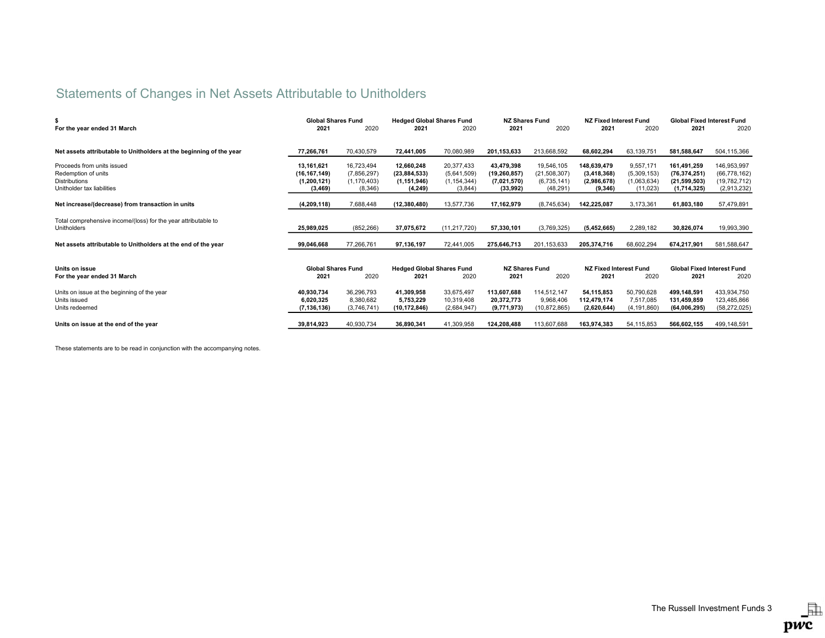# Statements of Changes in Net Assets Attributable to Unitholders

|                                                                               | <b>Global Shares Fund</b> |               | <b>Hedged Global Shares Fund</b> |                | <b>NZ Shares Fund</b> |                | <b>NZ Fixed Interest Fund</b> |               | <b>Global Fixed Interest Fund</b> |                |
|-------------------------------------------------------------------------------|---------------------------|---------------|----------------------------------|----------------|-----------------------|----------------|-------------------------------|---------------|-----------------------------------|----------------|
| For the year ended 31 March                                                   | 2021                      | 2020          | 2021                             | 2020           | 2021                  | 2020           | 2021                          | 2020          | 2021                              | 2020           |
|                                                                               |                           |               |                                  |                |                       |                |                               |               |                                   |                |
| Net assets attributable to Unitholders at the beginning of the year           | 77.266.761                | 70,430,579    | 72,441,005                       | 70,080,989     | 201,153,633           | 213,668,592    | 68,602,294                    | 63,139,751    | 581,588,647                       | 504,115,366    |
| Proceeds from units issued                                                    | 13,161,621                | 16,723,494    | 12,660,248                       | 20,377,433     | 43,479,398            | 19,546,105     | 148,639,479                   | 9,557,171     | 161,491,259                       | 146,953,997    |
| Redemption of units                                                           | (16, 167, 149)            | (7,856,297)   | (23, 884, 533)                   | (5,641,509)    | (19, 260, 857)        | (21, 508, 307) | (3,418,368)                   | (5,309,153)   | (76, 374, 251)                    | (66, 778, 162) |
| <b>Distributions</b>                                                          | (1, 200, 121)             | (1, 170, 403) | (1, 151, 946)                    | (1, 154, 344)  | (7,021,570)           | (6,735,141)    | (2,986,678)                   | (1,063,634)   | (21, 599, 503)                    | (19, 782, 712) |
| Unitholder tax liabilities                                                    | (3, 469)                  | (8,346)       | (4, 249)                         | (3,844)        | (33,992)              | (48, 291)      | (9, 346)                      | (11, 023)     | (1,714,325)                       | (2,913,232)    |
|                                                                               |                           |               |                                  |                |                       |                |                               |               |                                   |                |
| Net increase/(decrease) from transaction in units                             | (4,209,118)               | 7,688,448     | (12, 380, 480)                   | 13,577,736     | 17,162,979            | (8,745,634)    | 142,225,087                   | 3,173,361     | 61,803,180                        | 57,479,891     |
| Total comprehensive income/(loss) for the year attributable to<br>Unitholders | 25,989,025                | (852, 266)    | 37,075,672                       | (11, 217, 720) | 57,330,101            | (3,769,325)    | (5,452,665)                   | 2,289,182     | 30,826,074                        | 19,993,390     |
|                                                                               |                           |               |                                  |                |                       |                |                               |               |                                   |                |
| Net assets attributable to Unitholders at the end of the year                 | 99,046,668                | 77,266,761    | 97,136,197                       | 72,441,005     | 275,646,713           | 201,153,633    | 205,374,716                   | 68,602,294    | 674,217,901                       | 581,588,647    |
|                                                                               |                           |               |                                  |                |                       |                |                               |               |                                   |                |
| Units on issue                                                                | <b>Global Shares Fund</b> |               | <b>Hedged Global Shares Fund</b> |                | <b>NZ Shares Fund</b> |                | NZ Fixed Interest Fund        |               | <b>Global Fixed Interest Fund</b> |                |
| For the year ended 31 March                                                   | 2021                      | 2020          | 2021                             | 2020           | 2021                  | 2020           | 2021                          | 2020          | 2021                              | 2020           |
| Units on issue at the beginning of the year                                   | 40,930,734                | 36,296,793    | 41,309,958                       | 33,675,497     | 113,607,688           | 114,512,147    | 54.115.853                    | 50,790,628    | 499.148.591                       | 433,934,750    |
| Units issued                                                                  | 6.020.325                 | 8,380,682     | 5.753.229                        | 10,319,408     | 20.372.773            | 9.968.406      | 112.479.174                   | 7,517,085     | 131.459.859                       | 123,485,866    |
| Units redeemed                                                                | (7, 136, 136)             | (3,746,741)   | (10, 172, 846)                   | (2,684,947)    | (9,771,973)           | (10, 872, 865) | (2,620,644)                   | (4, 191, 860) | (64,006,295)                      | (58, 272, 025) |
|                                                                               |                           |               |                                  |                |                       |                |                               |               |                                   |                |
| Units on issue at the end of the year                                         | 39,814,923                | 40,930,734    | 36,890,341                       | 41,309,958     | 124,208,488           | 113,607,688    | 163,974,383                   | 54,115,853    | 566,602,155                       | 499,148,591    |

These statements are to be read in conjunction with the accompanying notes.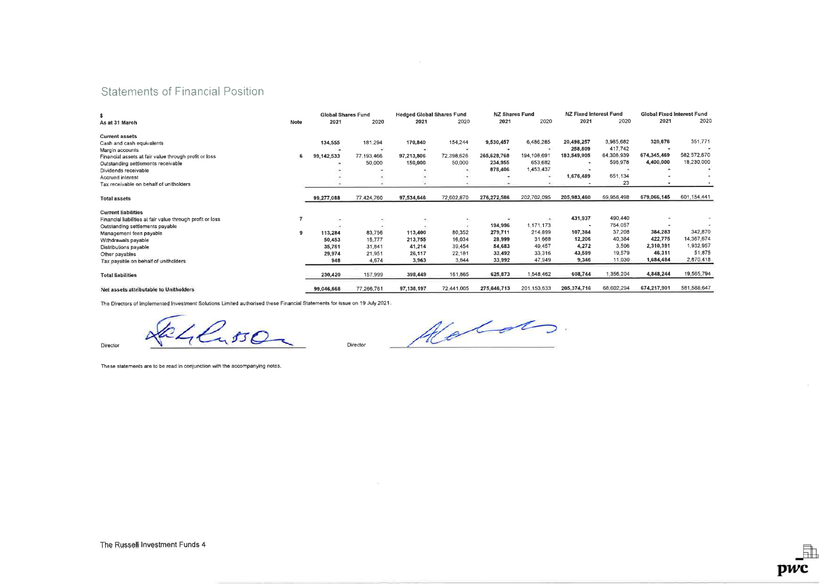## Statements of Financial Position

| \$                                                         |      | <b>Global Shares Fund</b> |            | <b>Hedged Global Shares Fund</b> |            | <b>NZ Shares Fund</b> |             | <b>NZ Fixed Interest Fund</b> |            | <b>Global Fixed Interest Fund</b> |               |
|------------------------------------------------------------|------|---------------------------|------------|----------------------------------|------------|-----------------------|-------------|-------------------------------|------------|-----------------------------------|---------------|
| As at 31 March                                             | Note | 2021                      | 2020       | 2021                             | 2020       | 2021                  | 2020        | 2021                          | 2020       | 2021                              | 2020          |
| <b>Current assets</b>                                      |      |                           |            |                                  |            |                       |             |                               |            |                                   |               |
| Cash and cash equivalents                                  |      | 134,555                   | 181.294    | 170,840                          | 154,244    | 9,530,457             | 6,486,285   | 20,498,257                    | 3,985,682  | 320,676                           | 351.771       |
| Margin accounts                                            |      |                           |            | ×                                | 22         |                       |             | 258,809                       | 417,742    |                                   |               |
| Financial assets at fair value through profit or loss      | 6    | 99,142,533                | 77,193,466 | 97,213,806                       | 72,398,626 | 265,628,768           | 194,108,691 | 183,549,905                   | 64,306,939 | 674,345,469                       | 582,572,670   |
| Outstanding settlements receivable                         |      | $\sim$                    | 50,000     | 150,000                          | 50,000     | 234,955               | 653,682     |                               | 596,978    | 4,400,000                         | 18,230,000    |
| Dividends receivable                                       |      |                           |            |                                  |            | 878,406               | 1,453,437   |                               |            |                                   |               |
| <b>Accrued inlerest</b>                                    |      |                           |            |                                  |            |                       | $\bullet$   | 1,676,489                     | 651,134    |                                   |               |
| Tax receivable on behalf of unitholders                    |      |                           |            |                                  |            |                       |             |                               | 23         |                                   |               |
| <b>Total assets</b>                                        |      | 99,277,088                | 77,424,760 | 97,534,646                       | 72,602,870 | 276,272,586           | 202,702,095 | 205,983,460                   | 69,958,498 | 679,066,145                       | 601, 154, 441 |
| <b>Current liabilities</b>                                 |      |                           |            |                                  |            |                       |             |                               |            |                                   |               |
| Financial liabilities at fair value through profit or loss | 7    | ۰                         | ٠          | ۰                                | $\sim$     | $\bullet$             | ÷           | 431,937                       | 490,440    |                                   |               |
| Outslanding settlements payable                            |      |                           | $\bullet$  | ٠,                               |            | 194,996               | 1,171,173   |                               | 754,057    |                                   |               |
| Management fees payable                                    | 9    | 113,284                   | 83,756     | 113,400                          | 80,352     | 279,711               | 214,899     | 107,384                       | 37,208     | 384,283                           | 342,870       |
| Withdrawals payable                                        |      | 50,453                    | 15,777     | 213,755                          | 16,034     | 28,999                | 31.668      | 12,206                        | 40,384     | 422,775                           | 14,367,674    |
| Distributions payable                                      |      | 35,761                    | 31,841     | 41,214                           | 39,454     | 54,683                | 49,457      | 4,272                         | 3,506      | 2,310,391                         | 1.932.957     |
| Other payables                                             |      | 29,974                    | 21,951     | 26,117                           | 22,181     | 33,492                | 33,316      | 43,599                        | 19,579     | 46,311                            | 51,875        |
| Tax payable on behalf of unitholders                       |      | 948                       | 4,674      | 3,963                            | 3,844      | 33,992                | 47,949      | 9,346                         | 11,030     | 1,684,484                         | 2,870,418     |
| <b>Total liabilities</b>                                   |      | 230,420                   | 157,999    | 398,449                          | 161,865    | 625,873               | 1,548,462   | 608,744                       | 1,356,204  | 4,848,244                         | 19,565,794    |
| Net assets attributable to Unitholders                     |      | 99,046,668                | 77,266,761 | 97,136,197                       | 72,441,005 | 275,646,713           | 201,153,633 | 205,374,716                   | 68,602,294 | 674,217,901                       | 581,588,647   |

The Directors of Implemented Investment Solutions Limited authorised these Financial Statements for issue on 19 July 2021.

 $\sqrt{k}/l$  ,  $50$ 

These statements are to be read in conjunction with the accompanying notes.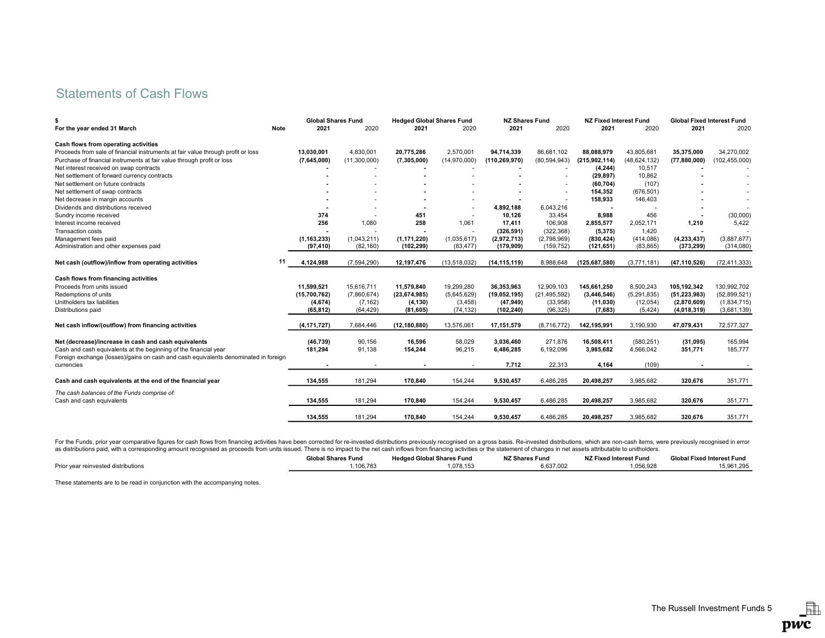# Statements of Cash Flows

| s                                                                                   |      | <b>Global Shares Fund</b> |              | <b>Hedged Global Shares Fund</b> |                | <b>NZ Shares Fund</b> |                | <b>NZ Fixed Interest Fund</b> |                | <b>Global Fixed Interest Fund</b> |                 |
|-------------------------------------------------------------------------------------|------|---------------------------|--------------|----------------------------------|----------------|-----------------------|----------------|-------------------------------|----------------|-----------------------------------|-----------------|
| For the year ended 31 March                                                         | Note | 2021                      | 2020         | 2021                             | 2020           | 2021                  | 2020           | 2021                          | 2020           | 2021                              | 2020            |
| Cash flows from operating activities                                                |      |                           |              |                                  |                |                       |                |                               |                |                                   |                 |
| Proceeds from sale of financial instruments at fair value through profit or loss    |      | 13,030,001                | 4,830,001    | 20,775,286                       | 2,570,001      | 94,714,339            | 86,681,102     | 88.088.979                    | 43,805,681     | 35,375,000                        | 34,270,002      |
| Purchase of financial instruments at fair value through profit or loss              |      | (7,645,000)               | (11,300,000) | (7,305,000)                      | (14,970,000)   | (110, 269, 970)       | (80, 594, 943) | (215, 902, 114)               | (48, 624, 132) | (77,880,000)                      | (102, 455, 000) |
| Net interest received on swap contracts                                             |      |                           |              |                                  |                |                       |                | (4, 244)                      | 10,517         |                                   |                 |
| Net settlement of forward currency contracts                                        |      |                           |              |                                  |                |                       |                | (29, 897)                     | 10,862         |                                   |                 |
| Net settlement on future contracts                                                  |      |                           |              |                                  |                |                       | ٠              | (60, 704)                     | (107)          |                                   |                 |
| Net settlement of swap contracts                                                    |      |                           |              |                                  |                |                       |                | 154,352                       | (676, 501)     |                                   |                 |
| Net decrease in margin accounts                                                     |      |                           |              |                                  |                |                       |                | 158,933                       | 146,403        |                                   |                 |
| Dividends and distributions received                                                |      |                           |              |                                  |                | 4,892,188             | 6,043,216      | $\overline{\phantom{a}}$      |                |                                   |                 |
| Sundry income received                                                              |      | 374                       |              | 451                              |                | 10,126                | 33,454         | 8,988                         | 456            |                                   | (30,000)        |
| Interest income received                                                            |      | 256                       | 1,080        | 258                              | 1,061          | 17,411                | 106,908        | 2,855,577                     | 2,052,171      | 1,210                             | 5,422           |
| <b>Transaction costs</b>                                                            |      |                           |              |                                  |                | (326, 591)            | (322, 368)     | (5, 375)                      | 1,420          |                                   |                 |
| Management fees paid                                                                |      | (1, 163, 233)             | (1,043,211)  | (1, 171, 220)                    | (1,035,617)    | (2,972,713)           | (2,798,969)    | (830, 424)                    | (414, 086)     | (4, 233, 437)                     | (3,887,677)     |
| Administration and other expenses paid                                              |      | (97, 410)                 | (82, 160)    | (102, 299)                       | (83, 477)      | (179, 909)            | (159, 752)     | (121, 651)                    | (83, 865)      | (373, 299)                        | (314,080)       |
| Net cash (outflow)/inflow from operating activities                                 | 11   | 4,124,988                 | (7,594,290)  | 12,197,476                       | (13, 518, 032) | (14, 115, 119)        | 8,988,648      | (125, 687, 580)               | (3,771,181)    | (47, 110, 526)                    | (72, 411, 333)  |
| Cash flows from financing activities                                                |      |                           |              |                                  |                |                       |                |                               |                |                                   |                 |
| Proceeds from units issued                                                          |      | 11,599,521                | 15,616,711   | 11,579,840                       | 19,299,280     | 36,353,963            | 12,909,103     | 145,661,250                   | 8,500,243      | 105,192,342                       | 130,992,702     |
| Redemptions of units                                                                |      | (15,700,762)              | (7,860,674)  | (23, 674, 985)                   | (5,645,629)    | (19,052,195)          | (21, 495, 592) | (3,446,546)                   | (5,291,835)    | (51, 223, 983)                    | (52,899,521)    |
| Unitholders tax liabilities                                                         |      | (4,674)                   | (7, 162)     | (4, 130)                         | (3, 458)       | (47, 949)             | (33,958)       | (11,030)                      | (12, 054)      | (2,870,609)                       | (1,834,715)     |
| Distributions paid                                                                  |      | (65, 812)                 | (64, 429)    | (81, 605)                        | (74, 132)      | (102, 240)            | (96, 325)      | (7,683)                       | (5, 424)       | (4,018,319)                       | (3,681,139)     |
| Net cash inflow/(outflow) from financing activities                                 |      | (4, 171, 727)             | 7,684,446    | (12, 180, 880)                   | 13,576,061     | 17,151,579            | (8,716,772)    | 142,195,991                   | 3,190,930      | 47,079,431                        | 72,577,327      |
| Net (decrease)/increase in cash and cash equivalents                                |      | (46, 739)                 | 90,156       | 16,596                           | 58,029         | 3,036,460             | 271,876        | 16,508,411                    | (580, 251)     | (31, 095)                         | 165,994         |
| Cash and cash equivalents at the beginning of the financial year                    |      | 181,294                   | 91,138       | 154,244                          | 96,215         | 6,486,285             | 6,192,096      | 3,985,682                     | 4,566,042      | 351,771                           | 185,777         |
| Foreign exchange (losses)/gains on cash and cash equivalents denominated in foreign |      |                           |              |                                  |                |                       |                |                               |                |                                   |                 |
| currencies                                                                          |      |                           |              |                                  |                | 7,712                 | 22,313         | 4,164                         | (109)          |                                   |                 |
| Cash and cash equivalents at the end of the financial year                          |      | 134,555                   | 181,294      | 170,840                          | 154,244        | 9,530,457             | 6,486,285      | 20,498,257                    | 3,985,682      | 320,676                           | 351,771         |
| The cash balances of the Funds comprise of:                                         |      |                           |              |                                  |                |                       |                |                               |                |                                   |                 |
| Cash and cash equivalents                                                           |      | 134,555                   | 181,294      | 170,840                          | 154,244        | 9,530,457             | 6,486,285      | 20,498,257                    | 3,985,682      | 320,676                           | 351,771         |
|                                                                                     |      | 134,555                   | 181,294      | 170,840                          | 154,244        | 9,530,457             | 6.486.285      | 20,498,257                    | 3,985,682      | 320.676                           | 351,771         |

For the Funds, prior year comparative figures for cash flows from financing activities have been corrected for re-invested distributions previously recognised on a gross basis. Re-invested distributions, which are non-cash as distributions paid, with a corresponding amount recognised as proceeds from units issued. There is no impact to the net cash inflows from financing activities or the statement of changes in net assets attributable to un

|                                     | <b>Global Shares Fund</b> | <b>Hedged Global Shares Fund</b> | <b>NZ Shares Fund</b> | NZ Fixed Interest Fund | <b>Global Fixed Interest Fund</b> |
|-------------------------------------|---------------------------|----------------------------------|-----------------------|------------------------|-----------------------------------|
| Prior vear reinvested distributions | .106.783                  | . 078 15'                        | 637.002               | .056.928               | 15.961.295                        |

These statements are to be read in conjunction with the accompanying notes.

 $\Box$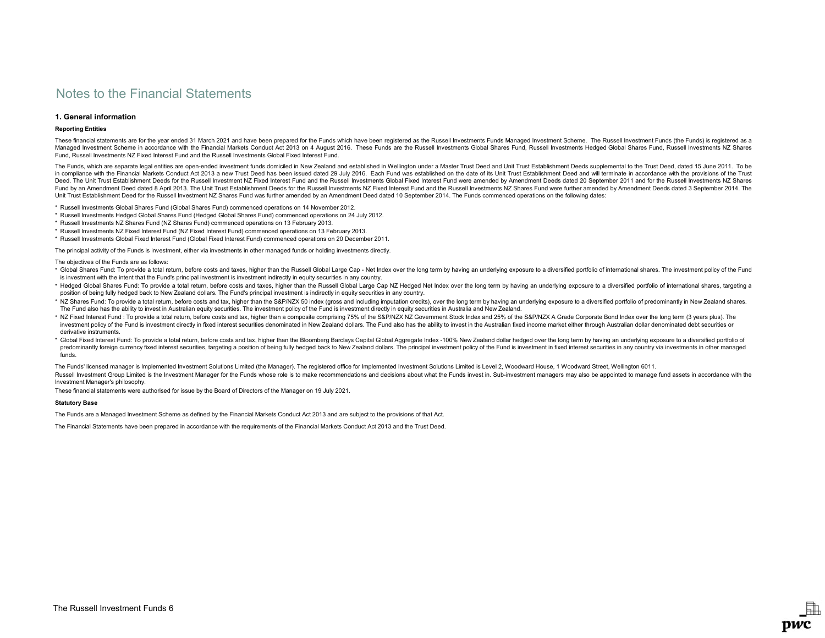## 1. General information

## Reporting Entities

These financial statements are for the year ended 31 March 2021 and have been prepared for the Funds which have been registered as the Russell Investments Funds Managed Investment Scheme. The Russell Investment Funds (the Managed Investment Scheme in accordance with the Financial Markets Conduct Act 2013 on 4 August 2016. These Funds are the Russell Investments Global Shares Hund, Russell Investments Hedged Global Shares Fund, Russell Inves Fund, Russell Investments NZ Fixed Interest Fund and the Russell Investments Global Fixed Interest Fund.

The Funds, which are separate legal entities are open-ended investment funds domiciled in New Zealand and established in Wellington under a Master Trust Deed and Unit Trust Establishment Deeds supplemental to the Trust Dee in compliance with the Financial Markets Conduct Act 2013 a new Trust Deed has been issued dated 29 July 2016. Each Fund was established on the date of its Unit Trust Establishment Deed and will terminate in accordance wit Deed. The Unit Trust Establishment Deeds for the Russell Investment NZ Fixed Interest Fund and the Russell Investments Global Fixed Interest Fund were amended by Amendment Deeds dated 20 September 2011 and for the Russell Fund by an Amendment Deed dated 8 April 2013. The Unit Trust Establishment Deeds for the Russell Investments NZ Fixed Interest Fund and the Russell Investments NZ Shares Fund were further amended by Amendment Deeds dated 3 Unit Trust Establishment Deed for the Russell Investment NZ Shares Fund was further amended by an Amendment Deed dated 10 September 2014. The Funds commenced operations on the following dates:

\* Russell Investments Global Shares Fund (Global Shares Fund) commenced operations on 14 November 2012.

- \* Russell Investments Hedged Global Shares Fund (Hedged Global Shares Fund) commenced operations on 24 July 2012.
- \* Russell Investments NZ Shares Fund (NZ Shares Fund) commenced operations on 13 February 2013.
- \* Russell Investments NZ Fixed Interest Fund (NZ Fixed Interest Fund) commenced operations on 13 February 2013.

\* Russell Investments Global Fixed Interest Fund (Global Fixed Interest Fund) commenced operations on 20 December 2011.

The principal activity of the Funds is investment, either via investments in other managed funds or holding investments directly.

The objectives of the Funds are as follows:

- \* Global Shares Fund: To provide a total return, before costs and taxes, higher than the Russell Global Large Cap Net Index over the long term by having an underlying exposure to a diversified portfolio of international is investment with the intent that the Fund's principal investment is investment indirectly in equity securities in any country.
- \* Hedged Global Shares Fund: To provide a total return, before costs and taxes, higher than the Russell Global Large Cap NZ Hedged Net Index over the long term by having an underlying exposure to a diversified portfolio of position of being fully hedged back to New Zealand dollars. The Fund's principal investment is indirectly in equity securities in any country.
- \* NZ Shares Fund: To provide a total return, before costs and tax, higher than the S&P/NZX 50 index (gross and including imputation credits), over the long term by having an underlying exposure to a diversified portfolio o The Fund also has the ability to invest in Australian equity securities. The investment policy of the Fund is investment directly in equity securities in Australia and New Zealand.
- \* NZ Fixed Interest Fund : To provide a total return, before costs and tax, higher than a composite comprising 75% of the S&P/NZX NZ Government Stock Index and 25% of the S&P/NZX A Grade Corporate Bond Index over the long investment policy of the Fund is investment directly in fixed interest securities denominated in New Zealand dollars. The Fund also has the ability to invest in the Australian fixed income market either through Australian derivative instruments.
- \* Global Fixed Interest Fund: To provide a total return, before costs and tax, higher than the Bloomberg Barclays Capital Global Aggregate Index -100% New Zealand dollar hedged over the long term by having an underlying ex predominantly foreign currency fixed interest securities, targeting a position of being fully hedged back to New Zealand dollars. The principal investment policy of the Fund is investment in fixed interest securities in an funds.

Russell Investment Group Limited is the Investment Manager for the Funds whose role is to make recommendations and decisions about what the Funds invest in. Sub-investment managers may also be appointed to manage fund asse Investment Manager's philosophy. The Funds' licensed manager is Implemented Investment Solutions Limited (the Manager). The registered office for Implemented Investment Solutions Limited is Level 2, Woodward House, 1 Woodward Street, Wellington 6011.

DWC

These financial statements were authorised for issue by the Board of Directors of the Manager on 19 July 2021.

## Statutory Base

The Funds are a Managed Investment Scheme as defined by the Financial Markets Conduct Act 2013 and are subject to the provisions of that Act.

The Financial Statements have been prepared in accordance with the requirements of the Financial Markets Conduct Act 2013 and the Trust Deed.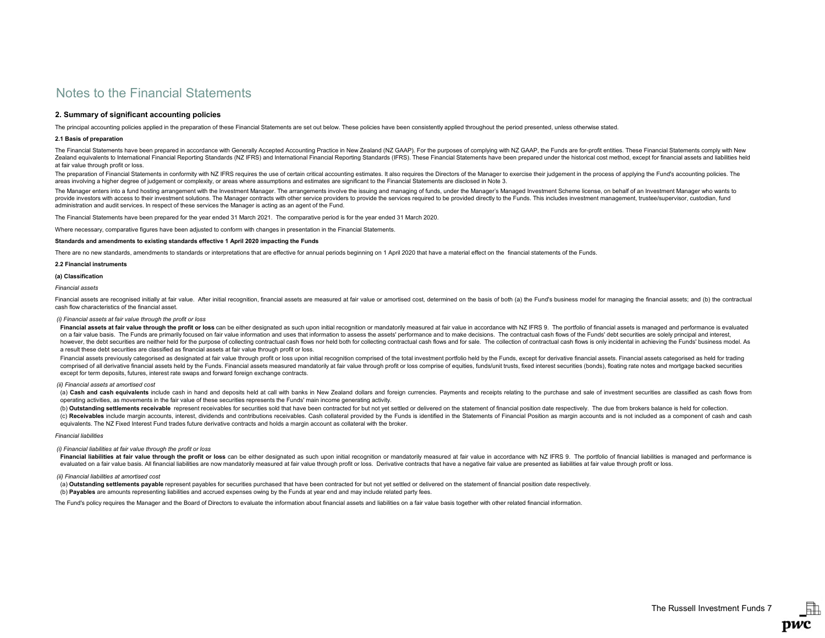## 2. Summary of significant accounting policies

The principal accounting policies applied in the preparation of these Financial Statements are set out below. These policies have been consistently applied throughout the period presented, unless otherwise stated.

### 2.1 Basis of preparation

The Financial Statements have been prepared in accordance with Generally Accepted Accounting Practice in New Zealand (NZ GAAP). For the purposes of complying with NZ GAAP, the Funds are for-profit entities. These Financial Zealand equivalents to International Financial Reporting Standards (NZ IFRS) and International Financial Reporting Standards (IFRS). These Financial Statements have been prepared under the historical cost method, except fo at fair value through profit or loss.

The preparation of Financial Statements in conformity with NZ IFRS requires the use of certain critical accounting estimates. It also requires the Directors of the Manager to exercise their judgement in the process of appl areas involving a higher degree of judgement or complexity, or areas where assumptions and estimates are significant to the Financial Statements are disclosed in Note 3.

The Manager enters into a fund hosting arrangement with the Investment Manager. The arrangements involve the issuing and managing of funds, under the Manager's Managed Investment Scheme license, on behalf of an Investment provide investors with access to their investment solutions. The Manager contracts with other service providers to provide the services required to be provided directly to the Funds. This includes investment management, tr administration and audit services. In respect of these services the Manager is acting as an agent of the Fund.

The Financial Statements have been prepared for the year ended 31 March 2021. The comparative period is for the year ended 31 March 2020.

Where necessary, comparative figures have been adjusted to conform with changes in presentation in the Financial Statements.

## Standards and amendments to existing standards effective 1 April 2020 impacting the Funds

There are no new standards, amendments to standards or interpretations that are effective for annual periods beginning on 1 April 2020 that have a material effect on the financial statements of the Funds.

#### 2.2 Financial instruments

### (a) Classification

Financial assets

Financial assets are recognised initially at fair value. After initial recognition, financial assets are measured at fair value or amortised cost, determined on the basis of both (a) the Fund's business model for managing cash flow characteristics of the financial asset.

### (i) Financial assets at fair value through the profit or loss

Financial assets at fair value through the profit or loss can be either designated as such upon initial recognition or mandatorily measured at fair value in accordance with NZ IFRS 9. The portfolio of financial assets is m on a fair value basis. The Funds are primarily focused on fair value information and uses that information to assess the assets' performance and to make decisions. The contractual cash flows of the Funds' debt securities a however, the debt securities are neither held for the purpose of collecting contractual cash flows nor held both for collecting contractual cash flows and for sale. The collection of contractual cash flows is only incident a result these debt securities are classified as financial assets at fair value through profit or loss.

Financial assets previously categorised as designated at fair value through profit or loss upon initial recognition comprised of the total investment portfolio held by the Funds, except for derivative financial assets. Fin comprised of all derivative financial assets held by the Funds. Financial assets measured mandatorily at fair value through profit or loss comprise of equities, funds/unit trusts, fixed interest securities (bonds), floatin except for term deposits, futures, interest rate swaps and forward foreign exchange contracts.

#### (ii) Financial assets at amortised cost

(a) Cash and cash equivalents include cash in hand and deposits held at call with banks in New Zealand dollars and foreign currencies. Payments and receipts relating to the purchase and sale of investment securities are cl operating activities, as movements in the fair value of these securities represents the Funds' main income generating activity.

(b) Outstanding settlements receivable represent receivables for securities sold that have been contracted for but not yet settled or delivered on the statement of financial position date respectively. The due from brokers (c) Receivables include margin accounts, interest, dividends and contributions receivables. Cash collateral provided by the Funds is identified in the Statements of Financial Position as margin accounts and is not included equivalents. The NZ Fixed Interest Fund trades future derivative contracts and holds a margin account as collateral with the broker.

#### Financial liabilities

### (i) Financial liabilities at fair value through the profit or loss

Financial liabilities at fair value through the profit or loss can be either designated as such upon initial recognition or mandatorily measured at fair value in accordance with NZ IFRS 9. The portfolio of financial liabil evaluated on a fair value basis. All financial liabilities are now mandatorily measured at fair value through profit or loss. Derivative contracts that have a negative fair value are presented as liabilities at fair value

### (ii) Financial liabilities at amortised cost

(a) Outstanding settlements payable represent payables for securities purchased that have been contracted for but not yet settled or delivered on the statement of financial position date respectively.

(b) Payables are amounts representing liabilities and accrued expenses owing by the Funds at year end and may include related party fees.

The Fund's policy requires the Manager and the Board of Directors to evaluate the information about financial assets and liabilities on a fair value basis together with other related financial information.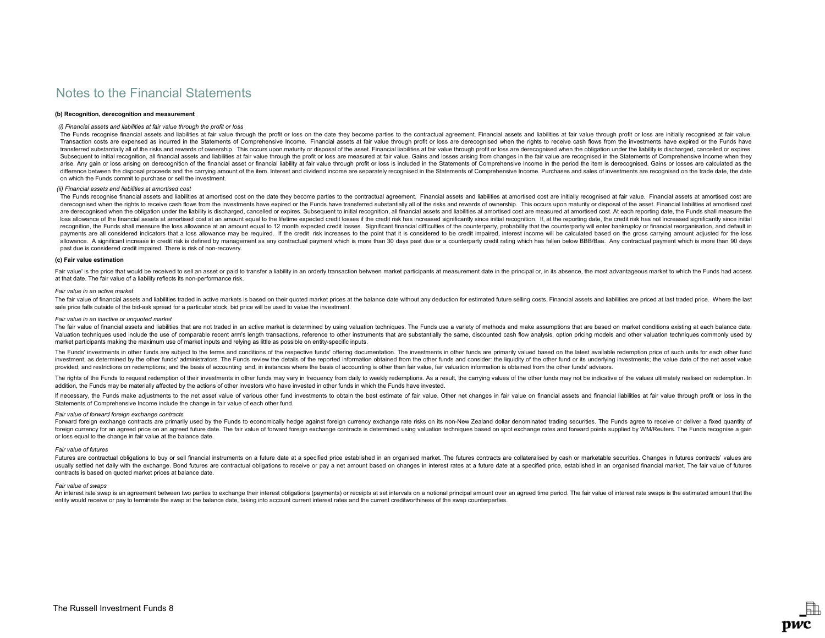### (b) Recognition, derecognition and measurement

#### (i) Financial assets and liabilities at fair value through the profit or loss

The Funds recognise financial assets and liabilities at fair value through the profit or loss on the date they become parties to the contractual agreement. Financial assets and liabilities at fair value through profit or l Transaction costs are expensed as incurred in the Statements of Comprehensive Income. Financial assets at fair value through profit or loss are derecognised when the rights to receive cash flows from the investments have e transferred substantially all of the risks and rewards of ownership. This occurs upon maturity or disposal of the asset. Financial liabilities at fair value through profit or loss are derecognised when the obligation under Subsequent to initial recognition, all financial assets and liabilities at fair value through the profit or loss are measured at fair value. Gains and losses arising from changes in the fair value are recognised in the Sta arise. Any gain or loss arising on derecognition of the financial asset or financial liability at fair value through profit or loss is included in the Statements of Comprehensive Income in the period the item is derecognis difference between the disposal proceeds and the carrying amount of the item. Interest and dividend income are separately recognised in the Statements of Comprehensive Income. Purchases and sales of investments are recogni on which the Funds commit to purchase or sell the investment.

## (ii) Financial assets and liabilities at amortised cost

The Funds recognise financial assets and liabilities at amortised cost on the date they become parties to the contractual agreement. Financial assets and liabilities at amortised cost are initially recognised at fair value derecognised when the rights to receive cash flows from the investments have expired or the Funds have transferred substantially all of the risks and rewards of ownership. This occurs upon maturity or disposal of the asset are derecognised when the obligation under the liability is discharged, cancelled or expires. Subsequent to initial recognition, all financial assets and liabilities at amortised cost are measured at amortised cost. At eac loss allowance of the financial assets at amortised cost at an amount equal to the lifetime expected credit losses if the credit risk has increased significantly since initial recognition. If, at the reporting date, the cr recognition, the Funds shall measure the loss allowance at an amount equal to 12 month expected credit losses. Significant financial difficulties of the counterparty, probability that the counterparty will enter bankruptcy payments are all considered indicators that a loss allowance may be required. If the credit risk increases to the point that it is considered to be credit impaired, interest income will be calculated based on the gross car allowance. A significant increase in credit risk is defined by management as any contractual payment which is more than 30 days past due or a counterparty credit rating which has fallen below BBB/Baa. Any contractual payme past due is considered credit impaired. There is risk of non-recovery.

### (c) Fair value estimation

Fair value' is the price that would be received to sell an asset or paid to transfer a liability in an orderly transaction between market participants at measurement date in the principal or, in its absence, the most advan at that date. The fair value of a liability reflects its non-performance risk.

#### Fair value in an active market

The fair value of financial assets and liabilities traded in active markets is based on their quoted market prices at the balance date without any deduction for estimated future selling costs. Financial assets and liabilit sale price falls outside of the bid-ask spread for a particular stock, bid price will be used to value the investment.

#### Fair value in an inactive or unquoted market

The fair value of financial assets and liabilities that are not traded in an active market is determined by using valuation techniques. The Funds use a variety of methods and make assumptions that are based on market condi Valuation techniques used include the use of comparable recent arm's length transactions, reference to other instruments that are substantially the same, discounted cash flow analysis, option pricing models and other valua market participants making the maximum use of market inputs and relying as little as possible on entity-specific inputs.

The Funds' investments in other funds are subject to the terms and conditions of the respective funds' offering documentation. The investments in other funds are primarily valued based on the latest available redemption pr investment, as determined by the other funds' administrators. The Funds review the details of the reported information obtained from the other funds and consider; the liquidity of the other fund or its underlying investmen provided; and restrictions on redemptions; and the basis of accounting and, in instances where the basis of accounting is other fuan fair value, fair valuation information is obtained from the other funds' advisors.

The rights of the Funds to request redemption of their investments in other funds may vary in frequency from daily to weekly redemptions. As a result, the carrying values of the other funds may not be indicative of the val addition, the Funds may be materially affected by the actions of other investors who have invested in other funds in which the Funds have invested.

If necessary, the Funds make adjustments to the net asset value of various other fund investments to obtain the best estimate of fair value. Other net changes in fair value on financial assets and financial liabilities at Statements of Comprehensive Income include the change in fair value of each other fund.

## Fair value of forward foreign exchange contracts

Forward foreign exchange contracts are primarily used by the Funds to economically hedge against foreign currency exchange rate risks on its non-New Zealand dollar denominated trading securities. The Funds agree to receive foreign currency for an agreed price on an agreed future date. The fair value of forward foreign exchange contracts is determined using valuation techniques based on spot exchange rates and forward points supplied by WMReu or loss equal to the change in fair value at the balance date.

## Fair value of futures

Futures are contractual obligations to buy or sell financial instruments on a future date at a specified price established in an organised market. The futures contracts are collateralised by cash or marketable securities. usually settled net daily with the exchange. Bond futures are contractual obligations to receive or pay a net amount based on changes in interest rates at a future date at a specified price, established in an organised fin contracts is based on quoted market prices at balance date.

### Fair value of swaps

An interest rate swap is an agreement between two parties to exchange their interest obligations (payments) or receipts at set intervals on a notional principal amount over an agreed time period. The fair value of interest entity would receive or pay to terminate the swap at the balance date, taking into account current interest rates and the current creditworthiness of the swap counterparties.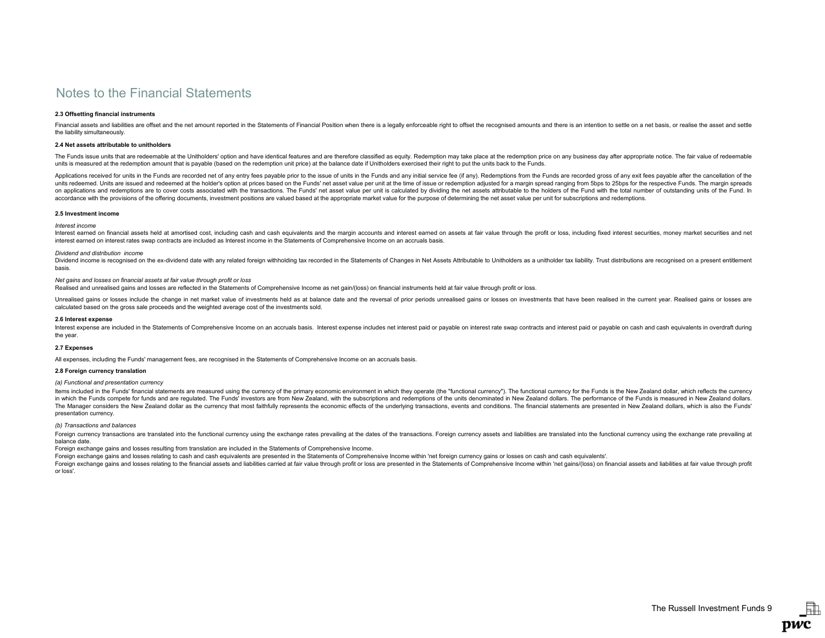### 2.3 Offsetting financial instruments

Financial assets and liabilities are offset and the net amount reported in the Statements of Financial Position when there is a legally enforceable right to offset the recognised amounts and there is an intention to settle the liability simultaneously.

### 2.4 Net assets attributable to unitholders

The Funds issue units that are redeemable at the Unitholders' option and have identical features and are therefore classified as equity. Redemption may take place at the redemption price on any business day after appropria units is measured at the redemption amount that is payable (based on the redemption unit price) at the balance date if Unitholders exercised their right to put the units back to the Funds.

Applications received for units in the Funds are recorded net of any entry fees payable prior to the issue of units in the Funds and any initial service fee (if any). Redemptions from the Funds are recorded gross of any ex units redeemed. Units are issued and redeemed at the holder's option at prices based on the Funds' net asset value per unit at the time of issue or redemption adjusted for a margin spread ranging from 5bps to 25bps for the on applications and redemptions are to cover costs associated with the transactions. The Funds' net asset value per unit is calculated by dividing the net assets attributable to the holders of the Fund with the total numbe accordance with the provisions of the offering documents, investment positions are valued based at the appropriate market value for the purpose of determining the net asset value per unit for subscriptions and redemptions.

#### 2.5 Investment income

### Interest income

Interest earned on financial assets held at amortised cost, including cash and cash equivalents and the margin accounts and interest earned on assets at fair value through the profit or loss, including fixed interest secur interest earned on interest rates swap contracts are included as Interest income in the Statements of Comprehensive Income on an accruals basis.

#### Dividend and distribution income

Dividend income is recognised on the ex-dividend date with any related foreign withholding tax recorded in the Statements of Changes in Net Assets Attributable to Unitholders as a unitholder tax liability. Trust distributi basis.

## Net gains and losses on financial assets at fair value through profit or loss

Realised and unrealised gains and losses are reflected in the Statements of Comprehensive Income as net gain/(loss) on financial instruments held at fair value through profit or loss.

Unrealised gains or losses include the change in net market value of investments held as at balance date and the reversal of prior periods unrealised gains or losses on investments that have been realised in the current ye calculated based on the gross sale proceeds and the weighted average cost of the investments sold.

#### 2.6 Interest expense

Interest expense are included in the Statements of Comprehensive Income on an accruals basis. Interest expense includes net interest paid or payable on interest rate swap contracts and interest paid or payable on cash and the year.

#### 2.7 Expenses

All expenses, including the Funds' management fees, are recognised in the Statements of Comprehensive Income on an accruals basis.

### 2.8 Foreign currency translation

## (a) Functional and presentation currency

Items included in the Funds' financial statements are measured using the currency of the primary economic environment in which they operate (the "functional currency"). The functional currency for the Funds is the New Zeal in which the Funds compete for funds and are regulated. The Funds' investors are from New Zealand, with the subscriptions and redemptions of the units denominated in New Zealand dollars. The performance of the Funds is mea The Manager considers the New Zealand dollar as the currency that most faithfully represents the economic effects of the underlying transactions, events and conditions. The financial statements are presented in New Zealand presentation currency.

(b) Transactions and balances

Foreign currency transactions are translated into the functional currency using the exchange rates prevailing at the dates of the transactions. Foreign currency assets and liabilities are translated into the functional cur balance date.

Foreign exchange gains and losses resulting from translation are included in the Statements of Comprehensive Income.

Foreign exchange gains and losses relating to cash and cash equivalents are presented in the Statements of Comprehensive Income within 'net foreign currency gains or losses on cash and cash equivalents'.

Foreign exchange gains and losses relating to the financial assets and liabilities carried at fair value through profit or loss are presented in the Statements of Comprehensive Income within 'net gains/(loss) on financial or loss'.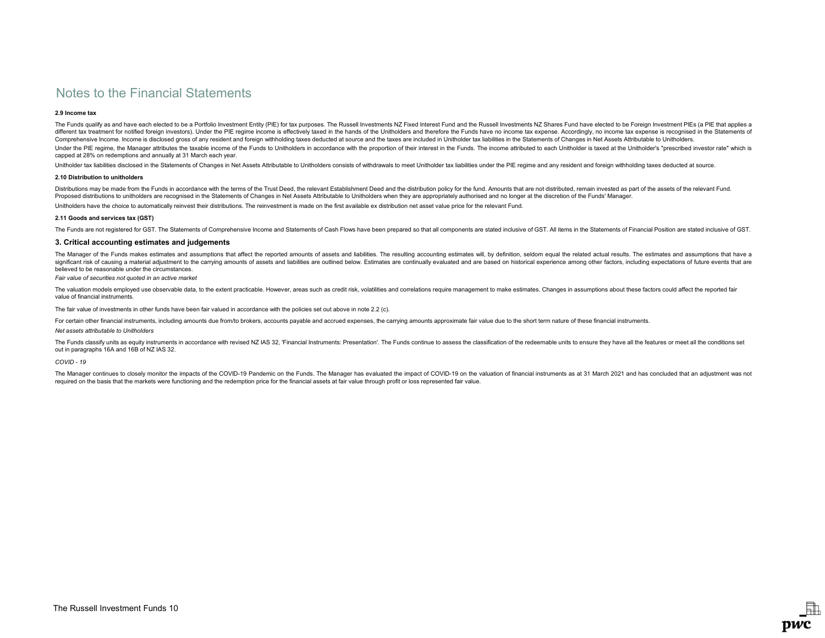## 2.9 Income tax

The Funds qualify as and have each elected to be a Portfolio Investment Entity (PIE) for tax purposes. The Russell Investments NZ Fixed Interest Fund and the Russell Investments NZ Shares Fund have elected to be Foreign In different tax treatment for notified foreign investors). Under the PIE regime income is effectively taxed in the hands of the Unitholders and therefore the Funds have no income tax expense. Accordingly, no income tax expen Comprehensive Income. Income is disclosed gross of any resident and foreign withholding taxes deducted at source and the taxes are included in Unitholder tax liabilities in the Statements of Changes in Net Assets Attributa Under the PIE regime, the Manager attributes the taxable income of the Funds to Unitholders in accordance with the proportion of their interest in the Funds. The income attributed to each Unitholder is taxed at the Unithol capped at 28% on redemptions and annually at 31 March each year.

Unitholder tax liabilities disclosed in the Statements of Changes in Net Assets Attributable to Unitholders consists of withdrawals to meet Unitholder tax liabilities under the PIE regime and any resident and foreign withh

#### 2.10 Distribution to unitholders

Distributions may be made from the Funds in accordance with the terms of the Trust Deed, the relevant Establishment Deed and the distribution policy for the fund. Amounts that are not distributed, remain invested as part o Proposed distributions to unitholders are recognised in the Statements of Changes in Net Assets Attributable to Unitholders when they are appropriately authorised and no longer at the discretion of the Funds' Manager. Unitholders have the choice to automatically reinvest their distributions. The reinvestment is made on the first available ex distribution net asset value price for the relevant Fund.

### 2.11 Goods and services tax (GST)

The Funds are not registered for GST. The Statements of Comprehensive Income and Statements of Cash Flows have been prepared so that all components are stated inclusive of GST. All items in the Statements of Financial Posi

## 3. Critical accounting estimates and judgements

The Manager of the Funds makes estimates and assumptions that affect the reported amounts of assets and liabilities. The resulting accounting estimates will, by definition, seldom equal the related actual results. The esti significant risk of causing a material adjustment to the carrying amounts of assets and liabilities are outlined below. Estimates are continually evaluated and are based on historical experience among other factors, includ believed to be reasonable under the circumstances.

Fair value of securities not quoted in an active market

The valuation models employed use observable data, to the extent practicable. However, areas such as credit risk, volatilities and correlations require management to make estimates. Changes in assumptions about these facto value of financial instruments.

The fair value of investments in other funds have been fair valued in accordance with the policies set out above in note 2.2 (c).

For certain other financial instruments, including amounts due from/to brokers, accounts payable and accrued expenses, the carrying amounts approximate fair value due to the short term nature of these financial instruments

### Net assets attributable to Unitholders

The Funds classify units as equity instruments in accordance with revised NZ IAS 32. 'Financial Instruments: Presentation'. The Funds continue to assess the classification of the redeemable units to ensure they have all th out in paragraphs 16A and 16B of NZ IAS 32.

## COVID - 19

The Manager continues to closely monitor the impacts of the COVID-19 Pandemic on the Funds. The Manager has evaluated the impact of COVID-19 on the valuation of financial instruments as at 31 March 2021 and has concluded t required on the basis that the markets were functioning and the redemption price for the financial assets at fair value through profit or loss represented fair value.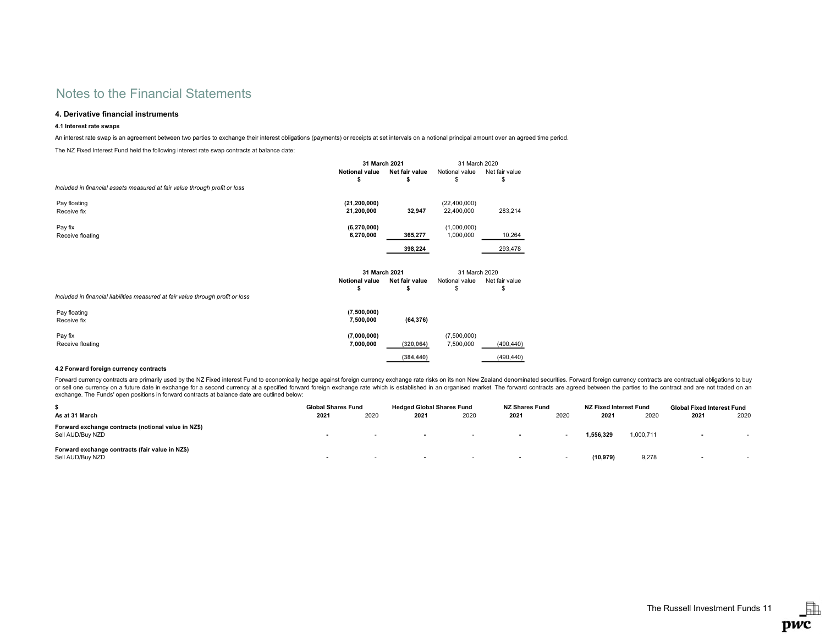## 4. Derivative financial instruments

## 4.1 Interest rate swaps

An interest rate swap is an agreement between two parties to exchange their interest obligations (payments) or receipts at set intervals on a notional principal amount over an agreed time period.

The NZ Fixed Interest Fund held the following interest rate swap contracts at balance date:

|                                                                                 | 31 March 2021                                |                     | 31 March 2020                        |                      |
|---------------------------------------------------------------------------------|----------------------------------------------|---------------------|--------------------------------------|----------------------|
|                                                                                 | <b>Notional value</b>                        | Net fair value      | Notional value                       | Net fair value       |
|                                                                                 |                                              |                     | S                                    | \$                   |
| Included in financial assets measured at fair value through profit or loss      |                                              |                     |                                      |                      |
| Pay floating                                                                    | (21, 200, 000)                               |                     | (22, 400, 000)                       |                      |
| Receive fix                                                                     | 21,200,000                                   | 32,947              | 22,400,000                           | 283,214              |
| Pay fix                                                                         | (6,270,000)                                  |                     | (1,000,000)                          |                      |
| Receive floating                                                                | 6,270,000                                    | 365,277             | 1,000,000                            | 10,264               |
|                                                                                 |                                              | 398,224             |                                      | 293,478              |
|                                                                                 | 31 March 2021<br><b>Notional value</b><br>\$ | Net fair value<br>s | 31 March 2020<br>Notional value<br>S | Net fair value<br>\$ |
| Included in financial liabilities measured at fair value through profit or loss |                                              |                     |                                      |                      |
| Pay floating<br>Receive fix                                                     | (7,500,000)<br>7,500,000                     | (64, 376)           |                                      |                      |
| Pay fix                                                                         | (7,000,000)                                  |                     | (7,500,000)                          |                      |
| Receive floating                                                                | 7,000,000                                    | (320, 064)          | 7,500,000                            | (490, 440)           |
|                                                                                 |                                              |                     |                                      |                      |

### 4.2 Forward foreign currency contracts

Forward currency contracts are primarily used by the NZ Fixed interest Fund to economically hedge against foreign currency exchange rate risks on its non New Zealand denominated securities. Forward foreign currency contrac or sell one currency on a future date in exchange for a second currency at a specified forward foreign exchange rate which is established in an organised market. The forward contracts are agreed between the parties to the exchange. The Funds' open positions in forward contracts at balance date are outlined below:

|                                                                         | <b>Global Shares Fund</b> |        | <b>Hedged Global Shares Fund</b> |      | <b>NZ Shares Fund</b> |      | NZ Fixed Interest Fund |           | <b>Global Fixed Interest Fund</b> |      |
|-------------------------------------------------------------------------|---------------------------|--------|----------------------------------|------|-----------------------|------|------------------------|-----------|-----------------------------------|------|
| As at 31 March                                                          | 2021                      | 2020   | 2021                             | 2020 | 2021                  | 2020 | 2021                   | 2020      | 2021                              | 2020 |
| Forward exchange contracts (notional value in NZ\$)<br>Sell AUD/Buy NZD |                           | $\sim$ | $\overline{\phantom{a}}$         |      |                       |      | 1.556.329              | 1,000,711 | $\sim$                            |      |
| Forward exchange contracts (fair value in NZ\$)<br>Sell AUD/Buy NZD     | . .                       |        | . .                              | . .  |                       | . .  | (10.979)               | 9,278     |                                   |      |

晶

pwc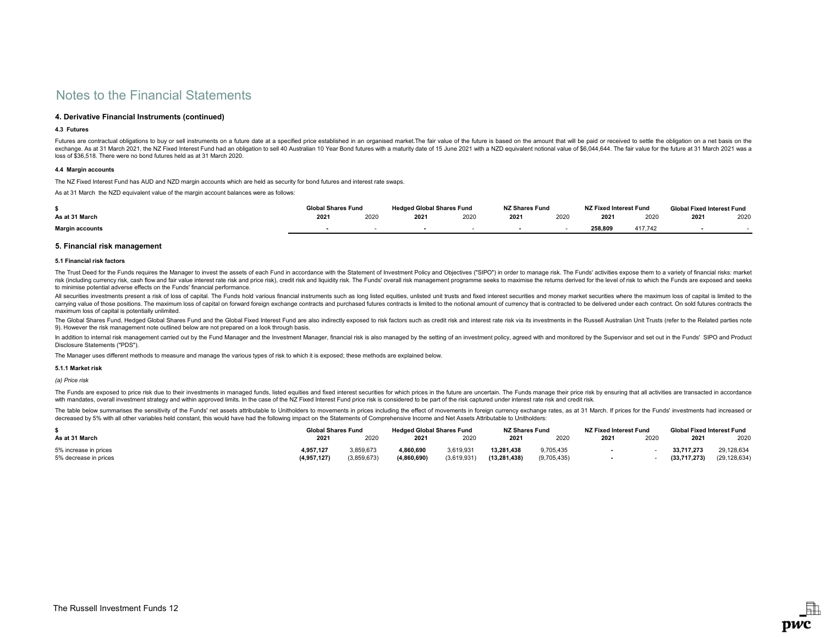## 4. Derivative Financial Instruments (continued)

## 4.3 Futures

Futures are contractual obligations to buy or sell instruments on a future date at a specified price established in an organised market. The fair value of the future is based on the amount that will be paid or received to exchange. As at 31 March 2021, the NZ Fixed Interest Fund had an obligation to sell 40 Australian 10 Year Bond futures with a maturity date of 15 June 2021 with a NZD equivalent notional value of \$6,044,644. The fair value loss of \$36,518. There were no bond futures held as at 31 March 2020.

## 4.4 Margin accounts

The NZ Fixed Interest Fund has AUD and NZD margin accounts which are held as security for bond futures and interest rate swaps.

As at 31 March the NZD equivalent value of the margin account balances were as follows:

|                        | <b>Global Shares Fund</b> |      | <b>Hedged Global Shares Fund</b> |      | <b>NZ Shares Fund</b> |      | NZ Fixed Interest Fund |         | <b>Global Fixed Interest Fund</b> |      |  |
|------------------------|---------------------------|------|----------------------------------|------|-----------------------|------|------------------------|---------|-----------------------------------|------|--|
| As at 31 March         | 2021                      | 2020 | 2021                             | 2020 | 2021                  | 2020 | 2021                   | 2020    | 2021                              | 2020 |  |
| <b>Margin accounts</b> |                           |      |                                  |      |                       |      | 258.809                | 417.742 |                                   |      |  |

### 5. Financial risk management

#### 5.1 Financial risk factors

The Trust Deed for the Funds requires the Manager to invest the assets of each Fund in accordance with the Statement of Investment Policy and Objectives ("SIPO") in order to manage risk. The Funds' activities expose them t risk (including currency risk, cash flow and fair value interest rate risk and price risk), credit risk and liquidity risk. The Funds' overall risk management programme seeks to maximise the returns derived for the level o to minimise potential adverse effects on the Funds' financial performance.

All securities investments present a risk of loss of capital. The Funds hold various financial instruments such as long listed equities, unlisted unit trusts and fixed interest securities and money market securities where carrying value of those positions. The maximum loss of capital on forward foreign exchange contracts and purchased futures contracts is limited to the notional amount of currency that is contracted to be delivered under ea maximum loss of capital is potentially unlimited.

The Global Shares Fund, Hedged Global Shares Fund and the Global Fixed Interest Fund are also indirectly exposed to risk factors such as credit risk and interest rate risk via its investments in the Russell Australian Unit 9). However the risk management note outlined below are not prepared on a look through basis.

In addition to internal risk management carried out by the Fund Manager and the Investment Manager, financial risk is also managed by the setting of an investment policy, agreed with and monitored by the Supervisor and set Disclosure Statements ("PDS").

The Manager uses different methods to measure and manage the various types of risk to which it is exposed; these methods are explained below.

### 5.1.1 Market risk

(a) Price risk

The Funds are exposed to price risk due to their investments in managed funds, listed equities and fixed interest securities for which prices in the future are uncertain. The Funds manage their price risk by ensuring that with mandates, overall investment strategy and within approved limits. In the case of the NZ Fixed Interest Fund price risk is considered to be part of the risk captured under interest rate risk and credit risk

The table below summarises the sensitivity of the Funds' net assets attributable to Unitholders to movements in prices including the effect of movements in foreign currency exchange rates, as at 31 March. If prices for the decreased by 5% with all other variables held constant, this would have had the following impact on the Statements of Comprehensive Income and Net Assets Attributable to Unitholders:

|                       | <b>Global Shares Fund</b> |             | <b>Hedged Global Shares Fund</b> |             | <b>NZ Shares Fund</b> |             | NZ Fixed Interest Fund |      | Global Fixed Interest Fund |                |
|-----------------------|---------------------------|-------------|----------------------------------|-------------|-----------------------|-------------|------------------------|------|----------------------------|----------------|
| As at 31 March        | 2021                      | 2020        | 2021                             | 2020        | 2021                  | 2020        | 2021                   | 2020 | 2021                       | 2020           |
| 5% increase in prices | 4,957,127                 | 3,859,673   | 4.860.690                        | 3,619,931   | 13.281.438            | 9,705,435   |                        |      | 33.717.273                 | 29,128,634     |
| 5% decrease in prices | (4,957,127)               | (3,859,673) | (4.860.690)                      | (3,619,931) | (13,281,438)          | (9,705,435) |                        |      | (33,717,273)               | (29, 128, 634) |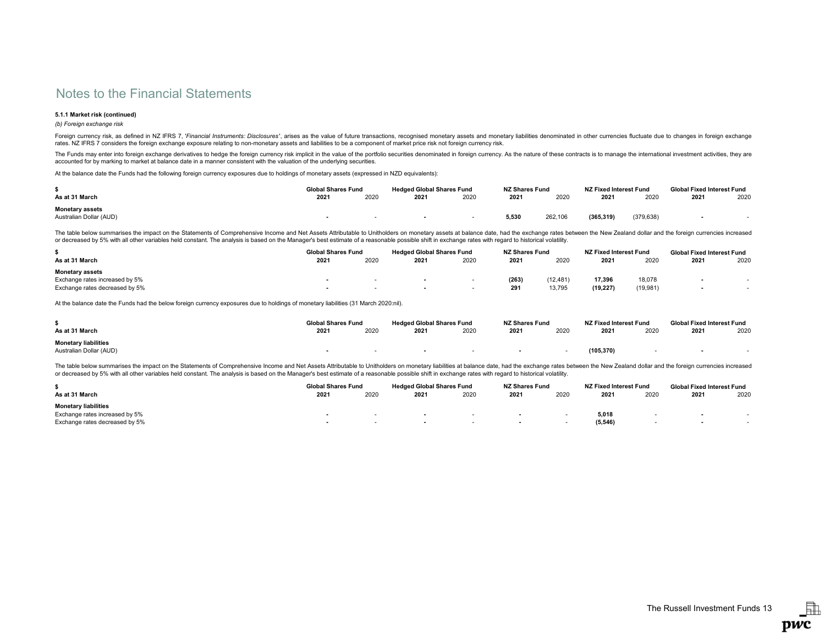### 5.1.1 Market risk (continued)

### (b) Foreign exchange risk

Foreign currency risk, as defined in NZ IFRS 7, 'Financial Instruments: Disclosures', arises as the value of future transactions, recognised monetary assets and monetary liabilities denominated in other currencies fluctuat rates. NZ IFRS 7 considers the foreign exchange exposure relating to non-monetary assets and liabilities to be a component of market price risk not foreign currency risk.

The Funds may enter into foreign exchange derivatives to hedge the foreign currency risk implicit in the value of the portfolio securities denominated in foreign currency. As the nature of these contracts is to manage the accounted for by marking to market at balance date in a manner consistent with the valuation of the underlying securities.

At the balance date the Funds had the following foreign currency exposures due to holdings of monetary assets (expressed in NZD equivalents):

|                         | <b>Global Shares Fund</b> |      | <b>Hedged Global Shares Fund</b> |      | <b>NZ Shares Fund</b> |         | NZ Fixed Interest Fund |           | <b>Global Fixed Interest Fund</b> |      |
|-------------------------|---------------------------|------|----------------------------------|------|-----------------------|---------|------------------------|-----------|-----------------------------------|------|
| As at 31 March          | 2021                      | 2020 | 2021                             | 2020 | 2021                  | 2020    | 2021                   | 2020      | 2021                              | 2020 |
| <b>Monetary assets</b>  |                           |      |                                  |      |                       |         |                        |           |                                   |      |
| Australian Dollar (AUD) |                           |      |                                  |      | 5.530                 | 262.106 | (365, 319)             | (379.638) |                                   |      |

The table below summarises the impact on the Statements of Comprehensive Income and Net Assets Attributable to Unitholders on monetary assets at balance date, had the exchange rates between the New Zealand dollar and the f or decreased by 5% with all other variables held constant. The analysis is based on the Manager's best estimate of a reasonable possible shift in exchange rates with regard to historical volatility.

|                                | <b>Global Shares Fund</b> |      | <b>Hedged Global Shares Fund</b> |      | <b>NZ Shares Fund</b> |           | NZ Fixed Interest Fund |          | <b>Global Fixed Interest Fund</b> |      |
|--------------------------------|---------------------------|------|----------------------------------|------|-----------------------|-----------|------------------------|----------|-----------------------------------|------|
| As at 31 March                 | 2021                      | 2020 | 2021                             | 2020 | 2021                  | 2020      | 2021                   | 2020     | 2021                              | 2020 |
| <b>Monetary assets</b>         |                           |      |                                  |      |                       |           |                        |          |                                   |      |
| Exchange rates increased by 5% |                           |      |                                  |      | (263)                 | (12, 481) | 17.396                 | 18,078   |                                   |      |
| Exchange rates decreased by 5% |                           |      |                                  |      | 291                   | 13,795    | (19, 227)              | (19,981) |                                   |      |

At the balance date the Funds had the below foreign currency exposures due to holdings of monetary liabilities (31 March 2020:nil).

|                             | <b>Global Shares Fund</b> |      | <b>Hedged Global Shares Fund</b> |      | <b>NZ Shares Fund</b> |      | NZ Fixed Interest Fund |      | <b>Global Fixed Interest Fund</b> |      |
|-----------------------------|---------------------------|------|----------------------------------|------|-----------------------|------|------------------------|------|-----------------------------------|------|
| As at 31 March              | 2021                      | 2020 | 2021                             | 2020 | 2021                  | 2020 | 2021                   | 2020 | 2021                              | 2020 |
| <b>Monetary liabilities</b> |                           |      |                                  |      |                       |      |                        |      |                                   |      |
| Australian Dollar (AUD)     |                           |      |                                  |      |                       |      | (105, 370)             |      |                                   |      |

The table below summarises the impact on the Statements of Comprehensive Income and Net Assets Attributable to Unitholders on monetary liabilities at balance date, had the exchange rates between the New Zealand dollar and or decreased by 5% with all other variables held constant. The analysis is based on the Manager's best estimate of a reasonable possible shift in exchange rates with regard to historical volatility.

|                                | Global Shares Fund |      | <b>Hedged Global Shares Fund</b> |      | <b>NZ Shares Fund</b> |      | NZ Fixed Interest Fund |      | <b>Global Fixed Interest Fund</b> |      |
|--------------------------------|--------------------|------|----------------------------------|------|-----------------------|------|------------------------|------|-----------------------------------|------|
| As at 31 March                 | 2021               | 2020 | 2021                             | 2020 | 2021                  | 2020 | 2021                   | 2020 | 2021                              | 2020 |
| <b>Monetary liabilities</b>    |                    |      |                                  |      |                       |      |                        |      |                                   |      |
| Exchange rates increased by 5% |                    | . .  |                                  |      |                       |      | 5.018                  |      |                                   |      |
| Exchange rates decreased by 5% |                    |      |                                  |      |                       |      | (5, 546)               |      |                                   |      |

駎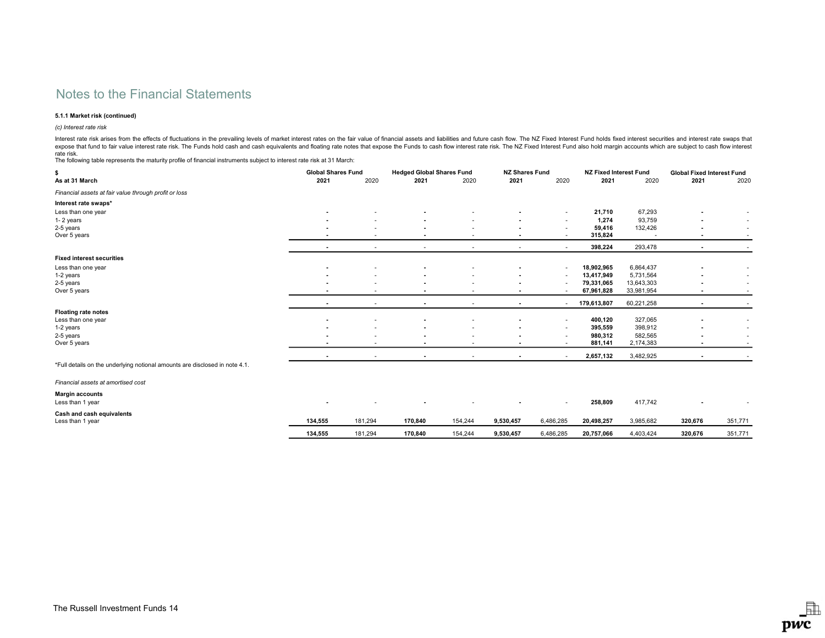## 5.1.1 Market risk (continued)

(c) Interest rate risk

Interest rate risk arises from the effects of fluctuations in the prevailing levels of market interest rates on the fair value of financial assets and liabilities and future cash flow. The NZ Fixed Interest Fund holds fixe

rate risk.<br>The following table represents the maturity profile of financial instruments subject to interest rate risk at 31 March:

| \$                                                                          |                          | <b>Global Shares Fund</b> |                | <b>Hedged Global Shares Fund</b> |                          | <b>NZ Shares Fund</b> |             | <b>NZ Fixed Interest Fund</b> |                | <b>Global Fixed Interest Fund</b> |  |
|-----------------------------------------------------------------------------|--------------------------|---------------------------|----------------|----------------------------------|--------------------------|-----------------------|-------------|-------------------------------|----------------|-----------------------------------|--|
| As at 31 March                                                              | 2021                     | 2020                      | 2021           | 2020                             | 2021                     | 2020                  | 2021        | 2020                          | 2021           | 2020                              |  |
| Financial assets at fair value through profit or loss                       |                          |                           |                |                                  |                          |                       |             |                               |                |                                   |  |
| Interest rate swaps*                                                        |                          |                           |                |                                  |                          |                       |             |                               |                |                                   |  |
| Less than one year                                                          |                          |                           |                |                                  |                          | ٠                     | 21,710      | 67,293                        |                |                                   |  |
| 1-2 years                                                                   |                          |                           |                |                                  |                          | ٠                     | 1,274       | 93,759                        | ٠              |                                   |  |
| 2-5 years                                                                   |                          |                           |                |                                  |                          | ٠                     | 59,416      | 132,426                       |                |                                   |  |
| Over 5 years                                                                |                          |                           |                |                                  |                          | ۰                     | 315,824     |                               |                |                                   |  |
|                                                                             |                          |                           |                |                                  |                          |                       | 398,224     | 293,478                       |                |                                   |  |
| <b>Fixed interest securities</b>                                            |                          |                           |                |                                  |                          |                       |             |                               |                |                                   |  |
| Less than one year                                                          |                          |                           |                |                                  |                          | ٠                     | 18,902,965  | 6,864,437                     |                |                                   |  |
| 1-2 years                                                                   |                          |                           |                |                                  |                          |                       | 13,417,949  | 5,731,564                     |                |                                   |  |
| 2-5 years                                                                   |                          |                           |                |                                  |                          |                       | 79,331,065  | 13,643,303                    |                |                                   |  |
| Over 5 years                                                                | $\overline{\phantom{a}}$ |                           |                |                                  | $\overline{\phantom{a}}$ |                       | 67,961,828  | 33,981,954                    | $\blacksquare$ |                                   |  |
|                                                                             |                          |                           |                |                                  |                          |                       | 179,613,807 | 60,221,258                    |                |                                   |  |
| <b>Floating rate notes</b>                                                  |                          |                           |                |                                  |                          |                       |             |                               |                |                                   |  |
| Less than one year                                                          | $\blacksquare$           |                           |                |                                  |                          | ٠                     | 400,120     | 327,065                       |                |                                   |  |
| 1-2 years                                                                   |                          |                           |                |                                  |                          | ٠                     | 395,559     | 398,912                       |                |                                   |  |
| 2-5 years                                                                   | $\overline{\phantom{a}}$ |                           |                |                                  |                          | ٠                     | 980,312     | 582,565                       |                |                                   |  |
| Over 5 years                                                                |                          |                           |                |                                  |                          |                       | 881,141     | 2,174,383                     |                |                                   |  |
|                                                                             | $\overline{\phantom{a}}$ |                           | $\blacksquare$ | $\overline{\phantom{a}}$         | $\blacksquare$           | ٠                     | 2,657,132   | 3,482,925                     | $\blacksquare$ |                                   |  |
| *Full details on the underlying notional amounts are disclosed in note 4.1. |                          |                           |                |                                  |                          |                       |             |                               |                |                                   |  |
| Financial assets at amortised cost                                          |                          |                           |                |                                  |                          |                       |             |                               |                |                                   |  |
| <b>Margin accounts</b>                                                      |                          |                           |                |                                  |                          |                       |             |                               |                |                                   |  |
| Less than 1 year                                                            |                          |                           |                |                                  |                          | ٠                     | 258,809     | 417,742                       |                |                                   |  |
| Cash and cash equivalents                                                   |                          |                           |                |                                  |                          |                       |             |                               |                |                                   |  |
| Less than 1 year                                                            | 134,555                  | 181,294                   | 170,840        | 154,244                          | 9,530,457                | 6,486,285             | 20,498,257  | 3,985,682                     | 320,676        | 351,771                           |  |
|                                                                             | 134.555                  | 181,294                   | 170,840        | 154,244                          | 9,530,457                | 6,486,285             | 20,757,066  | 4,403,424                     | 320.676        | 351,771                           |  |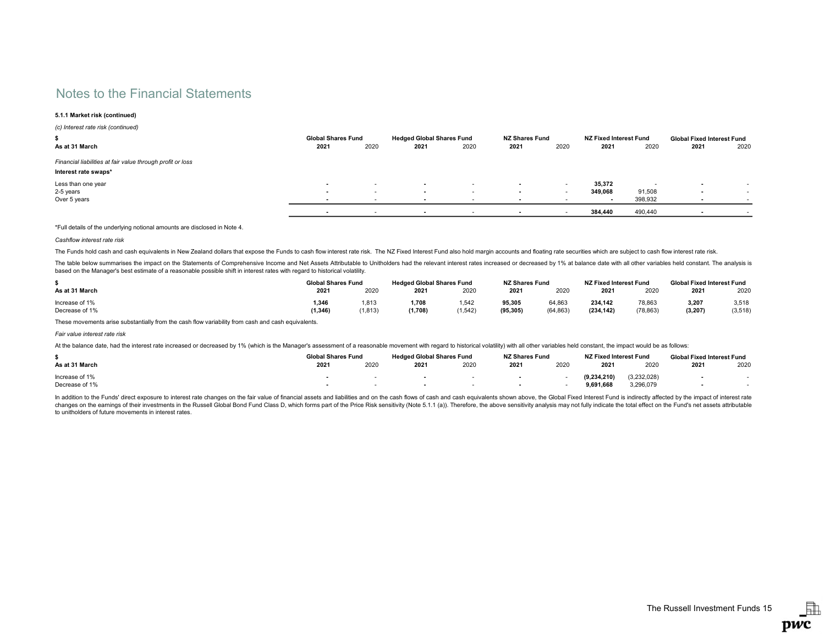## 5.1.1 Market risk (continued)

(c) Interest rate risk (continued)

| 5<br>As at 31 March                                                                | <b>Global Shares Fund</b><br>2021 | 2020                     | <b>Hedged Global Shares Fund</b><br>2021 | 2020 | <b>NZ Shares Fund</b><br>2021 | 2020 | NZ Fixed Interest Fund<br>2021 | 2020    | <b>Global Fixed Interest Fund</b><br>2021 | 2020                     |
|------------------------------------------------------------------------------------|-----------------------------------|--------------------------|------------------------------------------|------|-------------------------------|------|--------------------------------|---------|-------------------------------------------|--------------------------|
| Financial liabilities at fair value through profit or loss<br>Interest rate swaps* |                                   |                          |                                          |      |                               |      |                                |         |                                           |                          |
| Less than one year                                                                 | . .                               | $\sim$                   | . .                                      |      |                               | . .  | 35,372                         |         | $\sim$                                    |                          |
| 2-5 years                                                                          | . .                               | $\overline{\phantom{a}}$ | $\overline{\phantom{a}}$                 |      |                               |      | 349,068                        | 91,508  | $\overline{\phantom{a}}$                  | $\overline{\phantom{a}}$ |
| Over 5 years                                                                       |                                   |                          |                                          |      |                               |      |                                | 398,932 | $\sim$                                    | $\sim$                   |
|                                                                                    |                                   |                          |                                          |      |                               |      | 384.440                        | 490,440 |                                           |                          |

\*Full details of the underlying notional amounts are disclosed in Note 4.

Cashflow interest rate risk

The Funds hold cash and cash equivalents in New Zealand dollars that expose the Funds to cash flow interest rate risk. The NZ Fixed Interest Fund also hold margin accounts and floating rate securities which are subject to

The table below summarises the impact on the Statements of Comprehensive Income and Net Assets Attributable to Unitholders had the relevant interest rates increased or decreased by 1% at balance date with all other variabl based on the Manager's best estimate of a reasonable possible shift in interest rates with regard to historical volatility.

|                | <b>Global Shares Fund</b> |         | <b>Hedged Global Shares Fund</b> |          | <b>NZ Shares Fund</b> |           | NZ Fixed Interest Fund |           | <b>Global Fixed Interest Fund</b> |          |
|----------------|---------------------------|---------|----------------------------------|----------|-----------------------|-----------|------------------------|-----------|-----------------------------------|----------|
| As at 31 March | $202^{\circ}$             | 2020    | 2021                             | 2020     | 2021                  | 2020      | 2021                   | 2020      | 2021                              | 2020     |
| Increase of 1% | 1.346                     | 1.813   | 1.708                            | .542     | 95.305                | 64.863    | 234.142                | 78,863    | 3.207                             | 3.518    |
| Decrease of 1% | (1, 346)                  | (1.813) | (1,708)                          | (1, 542) | (95, 305)             | (64, 863) | (234.142)              | (78, 863) | (3, 207)                          | (3, 518) |

These movements arise substantially from the cash flow variability from cash and cash equivalents.

Fair value interest rate risk

At the balance date, had the interest rate increased or decreased by 1% (which is the Manager's assessment of a reasonable movement with regard to historical volatility) with all other variables held constant, the impact w

|                | <b>Global Shares Fund</b> |      | <b>Hedged Global Shares Fund</b> |      | <b>NZ Shares Fund</b> |      | NZ Fixed Interest Fund |             | <b>Global Fixed Interest Fund</b> |      |
|----------------|---------------------------|------|----------------------------------|------|-----------------------|------|------------------------|-------------|-----------------------------------|------|
| As at 31 March | 2021                      | 2020 | 2021                             | 2020 | 2021                  | 2020 | 2021                   | 2020        | 2021                              | 2020 |
| Increase of 1% |                           |      |                                  |      |                       |      | (9.234.210)            | (3,232,028) |                                   |      |
| Decrease of 1% |                           |      |                                  |      |                       |      | 9.691.668              | 3,296,079   |                                   |      |

In addition to the Funds' direct exposure to interest rate changes on the fair value of financial assets and liabilities and on the cash flows of cash and cash equivalents shown above, the Global Fixed Interest Fund is ind changes on the earnings of their investments in the Russell Global Bond Fund Class D, which forms part of the Price Risk sensitivity (Note 5.1.1 (a)). Therefore, the above sensitivity analysis may not fully indicate the to to unitholders of future movements in interest rates.

虛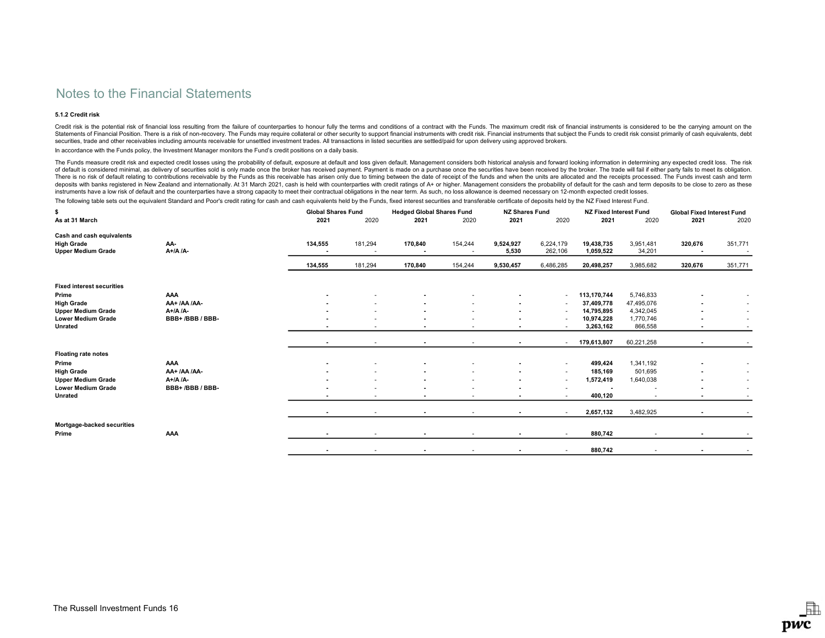## 5.1.2 Credit risk

Credit risk is the potential risk of financial loss resulting from the failure of counterparties to honour fully the terms and conditions of a contract with the Funds. The maximum credit risk of financial instruments is co Statements of Financial Position. There is a risk of non-recovery. The Funds may require collateral or other security to support financial instruments with credit risk. Financial instruments that subject the Funds to credi securities, trade and other receivables including amounts receivable for unsettled investment trades. All transactions in listed securities are settled/paid for upon delivery using approved brokers.

In accordance with the Funds policy, the Investment Manager monitors the Fund's credit positions on a daily basis.

The Funds measure credit risk and expected credit losses using the probability of default, exposure at default and loss given default. Management considers both historical analysis and forward looking information in determ of default is considered minimal, as delivery of securities sold is only made once the broker has received payment. Payment is made on a purchase once the securities have been received by the broker. The trade will fail if There is no risk of default relating to contributions receivable by the Funds as this receivable has arisen only due to timing between the date of receipt of the funds and when the units are allocated and the receipts proc deposits with banks registered in New Zealand and internationally. At 31 March 2021, cash is held with counterparties with credit ratings of A+ or higher. Management considers the probability of default for the cash and te instruments have a low risk of default and the counterparties have a strong capacity to meet their contractual obligations in the near term. As such, no loss allowance is deemed necessary on 12-month expected credit losses.

The following table sets out the equivalent Standard and Poor's credit rating for cash and cash equivalents held by the Funds, fixed interest securities and transferable certificate of deposits held by the NZ Fixed Interes

| \$                                                                          |                 |         | <b>Global Shares Fund</b>           |                                     | <b>Hedged Global Shares Fund</b> |                          | <b>NZ Shares Fund</b> | <b>NZ Fixed Interest Fund</b> |                     | <b>Global Fixed Interest Fund</b> |                   |
|-----------------------------------------------------------------------------|-----------------|---------|-------------------------------------|-------------------------------------|----------------------------------|--------------------------|-----------------------|-------------------------------|---------------------|-----------------------------------|-------------------|
| As at 31 March                                                              |                 | 2021    | 2020                                | 2021                                | 2020                             | 2021                     | 2020                  | 2021                          | 2020                | 2021                              | 2020              |
| Cash and cash equivalents<br><b>High Grade</b><br><b>Upper Medium Grade</b> | AA-<br>A+/A /A- | 134,555 | 181,294<br>$\overline{\phantom{a}}$ | 170,840<br>$\overline{\phantom{a}}$ | 154,244<br>$\sim$                | 9,524,927<br>5,530       | 6,224,179<br>262,106  | 19,438,735<br>1,059,522       | 3,951,481<br>34,201 | 320,676<br>$\sim$                 | 351,771<br>$\sim$ |
|                                                                             |                 | 134,555 | 181,294                             | 170,840                             | 154,244                          | 9,530,457                | 6,486,285             | 20,498,257                    | 3,985,682           | 320,676                           | 351,771           |
| <b>Fixed interest securities</b>                                            |                 |         |                                     |                                     |                                  |                          |                       |                               |                     |                                   |                   |
| Prime                                                                       | AAA             |         |                                     |                                     |                                  |                          | $\sim$                | 113,170,744                   | 5,746,833           | $\overline{\phantom{a}}$          | ٠                 |
| <b>High Grade</b>                                                           | AA+/AA/AA-      |         |                                     |                                     |                                  |                          |                       | 37,409,778                    | 47,495,076          | . .                               |                   |
| <b>Upper Medium Grade</b>                                                   | $A+ /A /A-$     |         |                                     |                                     |                                  |                          |                       | 14,795,895                    | 4,342,045           |                                   |                   |
| <b>Lower Medium Grade</b>                                                   | BBB+/BBB/BBB-   |         |                                     |                                     |                                  |                          |                       | 10,974,228                    | 1,770,746           |                                   | ٠                 |
| Unrated                                                                     |                 |         | ٠                                   | $\overline{\phantom{a}}$            |                                  | $\overline{\phantom{a}}$ |                       | 3,263,162                     | 866,558             | $\overline{\phantom{a}}$          |                   |
|                                                                             |                 |         | ٠                                   |                                     |                                  |                          |                       | 179,613,807                   | 60,221,258          |                                   |                   |
| <b>Floating rate notes</b>                                                  |                 |         |                                     |                                     |                                  |                          |                       |                               |                     |                                   |                   |
| Prime                                                                       | AAA             |         |                                     |                                     |                                  |                          | $\sim$                | 499,424                       | 1,341,192           |                                   |                   |
| <b>High Grade</b>                                                           | AA+ /AA /AA-    |         |                                     |                                     |                                  |                          |                       | 185,169                       | 501,695             |                                   | ٠                 |
| <b>Upper Medium Grade</b>                                                   | A+/A /A-        |         | ٠                                   |                                     |                                  |                          | $\sim$                | 1,572,419                     | 1,640,038           |                                   | ٠                 |
| <b>Lower Medium Grade</b>                                                   | BBB+/BBB/BBB-   |         |                                     |                                     |                                  |                          |                       |                               |                     |                                   | ٠                 |
| Unrated                                                                     |                 |         | $\overline{\phantom{a}}$            |                                     |                                  |                          |                       | 400,120                       |                     |                                   |                   |
|                                                                             |                 |         | $\overline{\phantom{a}}$            | $\blacksquare$                      |                                  |                          |                       | 2,657,132                     | 3,482,925           | $\overline{\phantom{a}}$          |                   |
| Mortgage-backed securities<br>Prime                                         | AAA             |         | ٠                                   |                                     |                                  |                          |                       | 880,742                       |                     |                                   |                   |
|                                                                             |                 |         | $\overline{\phantom{a}}$            |                                     |                                  |                          |                       | 880,742                       |                     |                                   |                   |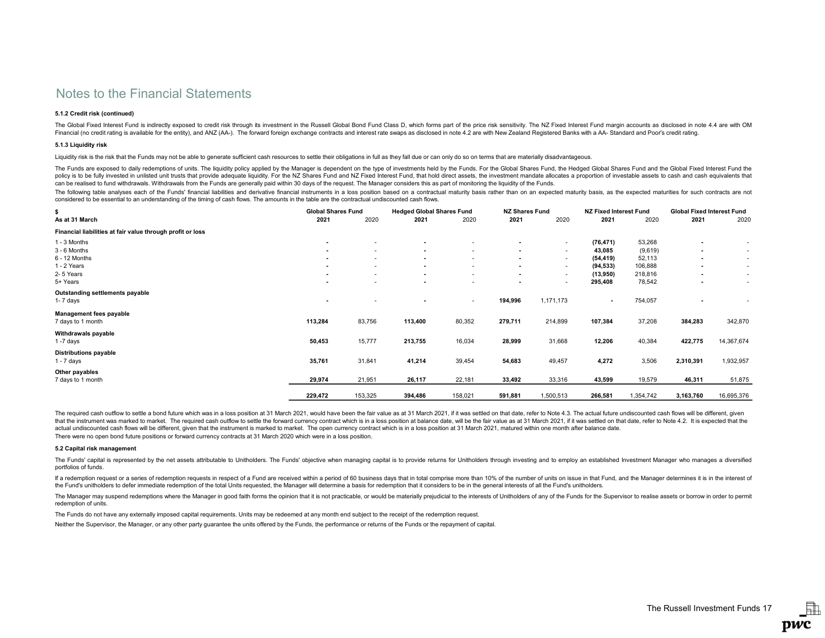## 5.1.2 Credit risk (continued)

The Global Fixed Interest Fund is indirectly exposed to credit risk through its investment in the Russell Global Bond Fund Class D, which forms part of the price risk sensitivity. The NZ Fixed Interest Fund margin accounts Financial (no credit rating is available for the entity), and ANZ (AA-). The forward foreign exchange contracts and interest rate swaps as disclosed in note 4.2 are with New Zealand Registered Banks with a AA- Standard and

## 5.1.3 Liquidity risk

Liquidity risk is the risk that the Funds may not be able to generate sufficient cash resources to settle their obligations in full as they fall due or can only do so on terms that are materially disadvantageous.

The Funds are exposed to daily redemptions of units. The liquidity policy applied by the Manager is dependent on the type of investments held by the Funds. For the Global Shares Fund, the Hedged Global Shares Fund and the policy is to be fully invested in unlisted unit trusts that provide adequate liquidity. For the NZ Shares Fund and NZ Fixed Interest Fund, that hold direct assets, the investment mandate allocates a proportion of investabl can be realised to fund withdrawals. Withdrawals from the Funds are generally paid within 30 days of the request. The Manager considers this as part of monitoring the liquidity of the Funds.

The following table analyses each of the Funds' financial liabilities and derivative financial instruments in a loss position based on a contractual maturity basis rather than on an expected maturity basis, as the expected considered to be essential to an understanding of the timing of cash flows. The amounts in the table are the contractual undiscounted cash flows.

| \$                                                         | <b>Global Shares Fund</b> |         | <b>Hedged Global Shares Fund</b> |         | <b>NZ Shares Fund</b> |                          | <b>NZ Fixed Interest Fund</b> |           | <b>Global Fixed Interest Fund</b> |            |
|------------------------------------------------------------|---------------------------|---------|----------------------------------|---------|-----------------------|--------------------------|-------------------------------|-----------|-----------------------------------|------------|
| As at 31 March                                             | 2021                      | 2020    | 2021                             | 2020    | 2021                  | 2020                     | 2021                          | 2020      | 2021                              | 2020       |
| Financial liabilities at fair value through profit or loss |                           |         |                                  |         |                       |                          |                               |           |                                   |            |
| 1 - 3 Months                                               | $\overline{\phantom{a}}$  |         |                                  |         |                       | $\overline{\phantom{a}}$ | (76, 471)                     | 53,268    | $\overline{\phantom{a}}$          |            |
| 3 - 6 Months                                               | $\sim$                    | ٠       |                                  | ۰.      | $\blacksquare$        | $\sim$                   | 43,085                        | (9,619)   | $\overline{\phantom{a}}$          | $\sim$     |
| 6 - 12 Months                                              | $\blacksquare$            | ٠       |                                  | ٠       | $\blacksquare$        | $\sim$                   | (54, 419)                     | 52,113    | $\overline{\phantom{a}}$          | $\sim$     |
| 1 - 2 Years                                                | $\sim$                    | ٠       |                                  |         | $\blacksquare$        | $\sim$                   | (94, 533)                     | 106,888   | $\blacksquare$                    | $\sim$     |
| 2-5 Years                                                  | $\sim$                    | ٠       |                                  | ٠       | $\blacksquare$        | $\sim$                   | (13,950)                      | 218,816   | $\blacksquare$                    | $\sim$     |
| 5+ Years                                                   | $\overline{\phantom{a}}$  | ٠       |                                  | ٠       | $\sim$                | ۰.                       | 295,408                       | 78,542    | ۰                                 | $\sim$     |
| Outstanding settlements payable                            |                           |         |                                  |         |                       |                          |                               |           |                                   |            |
| 1- 7 days                                                  | $\overline{\phantom{a}}$  | ۰       |                                  | $\sim$  | 194,996               | 1,171,173                | $\blacksquare$                | 754,057   | $\blacksquare$                    |            |
| <b>Management fees payable</b>                             |                           |         |                                  |         |                       |                          |                               |           |                                   |            |
| 7 days to 1 month                                          | 113,284                   | 83,756  | 113,400                          | 80,352  | 279,711               | 214,899                  | 107,384                       | 37,208    | 384,283                           | 342,870    |
| Withdrawals payable                                        |                           |         |                                  |         |                       |                          |                               |           |                                   |            |
| $1 - 7$ days                                               | 50,453                    | 15,777  | 213,755                          | 16,034  | 28,999                | 31,668                   | 12,206                        | 40,384    | 422,775                           | 14,367,674 |
| <b>Distributions payable</b>                               |                           |         |                                  |         |                       |                          |                               |           |                                   |            |
| $1 - 7$ days                                               | 35,761                    | 31,841  | 41,214                           | 39,454  | 54,683                | 49,457                   | 4,272                         | 3,506     | 2,310,391                         | 1,932,957  |
| Other payables                                             |                           |         |                                  |         |                       |                          |                               |           |                                   |            |
| 7 days to 1 month                                          | 29,974                    | 21,951  | 26,117                           | 22,181  | 33,492                | 33,316                   | 43,599                        | 19,579    | 46,311                            | 51,875     |
|                                                            |                           |         |                                  |         |                       |                          |                               |           |                                   |            |
|                                                            | 229,472                   | 153,325 | 394,486                          | 158,021 | 591,881               | 1,500,513                | 266,581                       | 1,354,742 | 3,163,760                         | 16,695,376 |

There were no open bond future positions or forward currency contracts at 31 March 2020 which were in a loss position. The required cash outflow to settle a bond future which was in a loss position at 31 March 2021, would have been the fair value as at 31 March 2021, if it was settled on that date, refer to Note 4.3. The actual future undi that the instrument was marked to market. The required cash outflow to settle the forward currency contract which is in a loss position at balance date, will be the fair value as at 31 March 2021, if it was settled on that actual undiscounted cash flows will be different, given that the instrument is marked to market. The open currency contract which is in a loss position at 31 March 2021, matured within one month after balance date.

### 5.2 Capital risk management

The Funds' capital is represented by the net assets attributable to Unitholders. The Funds' objective when managing capital is to provide returns for Unitholders through investing and to employ an established Investment Ma portfolios of funds.

If a redemption request or a series of redemption requests in respect of a Fund are received within a period of 60 business days that in total comprise more than 10% of the number of units on issue in that Fund, and the Ma the Fund's unitholders to defer immediate redemption of the total Units requested, the Manager will determine a basis for redemption that it considers to be in the general interests of all the Fund's unitholders.

The Manager may suspend redemptions where the Manager in good faith forms the opinion that it is not practicable, or would be materially prejudicial to the interests of Unitholders of any of the Funds for the Supervisor to redemption of units.

The Funds do not have any externally imposed capital requirements. Units may be redeemed at any month end subject to the receipt of the redemption request.

Neither the Supervisor, the Manager, or any other party guarantee the units offered by the Funds, the performance or returns of the Funds or the repayment of capital.

閗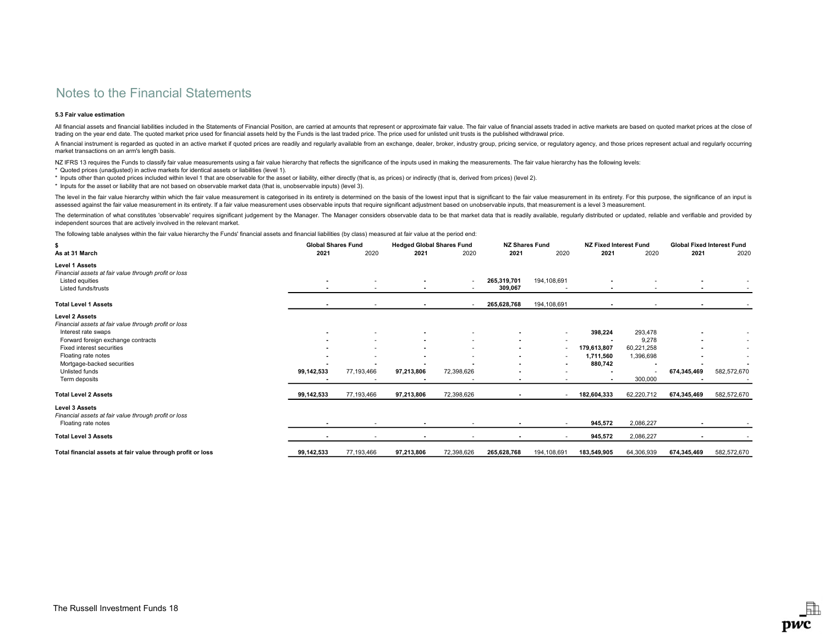## 5.3 Fair value estimation

All financial assets and financial liabilities included in the Statements of Financial Position, are carried at amounts that represent or approximate fair value. The fair value of financial assets traded in active markets trading on the year end date. The quoted market price used for financial assets held by the Funds is the last traded price. The price used for unlisted unit trusts is the published withdrawal price.

A financial instrument is regarded as quoted in an active market if quoted prices are readily and regularly available from an exchange, dealer, broker, industry group, pricing service, or regulatory agency, and those price market transactions on an arm's length basis.

NZ IFRS 13 requires the Funds to classify fair value measurements using a fair value hierarchy that reflects the significance of the inputs used in making the measurements. The fair value hierarchy has the following levels

\* Quoted prices (unadjusted) in active markets for identical assets or liabilities (level 1).

\* Inputs other than quoted prices included within level 1 that are observable for the asset or liability, either directly (that is, as prices) or indirectly (that is, derived from prices) (level 2).

\* Inputs for the asset or liability that are not based on observable market data (that is, unobservable inputs) (level 3).

The level in the fair value hierarchy within which the fair value measurement is categorised in its entirety is determined on the basis of the lowest input that is significant to the fair value measurement in its entirety. assessed against the fair value measurement in its entirety. If a fair value measurement uses observable inputs that require significant adjustment based on unobservable inputs, that measurement is a level 3 measurement.

The determination of what constitutes 'observable' requires significant judgement by the Manager. The Manager considers observable data to be that market data that is readily available, regularly distributed or updated, re independent sources that are actively involved in the relevant market.

The following table analyses within the fair value hierarchy the Funds' financial assets and financial liabilities (by class) measured at fair value at the period end:

| Ŝ<br>As at 31 March                                                                                                                                                                                                                                              | <b>Global Shares Fund</b><br>2021 | 2020                     | <b>Hedged Global Shares Fund</b><br>2021 | 2020                 | <b>NZ Shares Fund</b><br>2021 | 2020                     | <b>NZ Fixed Interest Fund</b><br>2021          | 2020                                                   | <b>Global Fixed Interest Fund</b><br>2021 | 2020        |
|------------------------------------------------------------------------------------------------------------------------------------------------------------------------------------------------------------------------------------------------------------------|-----------------------------------|--------------------------|------------------------------------------|----------------------|-------------------------------|--------------------------|------------------------------------------------|--------------------------------------------------------|-------------------------------------------|-------------|
| <b>Level 1 Assets</b><br>Financial assets at fair value through profit or loss<br>Listed equities<br>Listed funds/trusts                                                                                                                                         |                                   |                          |                                          | ٠                    | 265,319,701<br>309,067        | 194,108,691              |                                                |                                                        |                                           |             |
| <b>Total Level 1 Assets</b>                                                                                                                                                                                                                                      |                                   |                          |                                          |                      | 265,628,768                   | 194,108,691              | $\overline{\phantom{a}}$                       |                                                        |                                           |             |
| <b>Level 2 Assets</b><br>Financial assets at fair value through profit or loss<br>Interest rate swaps<br>Forward foreign exchange contracts<br>Fixed interest securities<br>Floating rate notes<br>Mortgage-backed securities<br>Unlisted funds<br>Term deposits | 99,142,533                        | 77,193,466               | $\overline{\phantom{a}}$<br>97,213,806   | ٠<br>٠<br>72,398,626 | ٠<br>$\overline{\phantom{a}}$ | ٠<br>٠                   | 398,224<br>179,613,807<br>1,711,560<br>880,742 | 293,478<br>9,278<br>60,221,258<br>1,396,698<br>300,000 | $\overline{\phantom{a}}$<br>674,345,469   | 582,572,670 |
| <b>Total Level 2 Assets</b>                                                                                                                                                                                                                                      | 99,142,533                        | 77,193,466               | 97,213,806                               | 72,398,626           |                               | $\overline{\phantom{a}}$ | 182,604,333                                    | 62,220,712                                             | 674,345,469                               | 582,572,670 |
| <b>Level 3 Assets</b><br>Financial assets at fair value through profit or loss<br>Floating rate notes<br><b>Total Level 3 Assets</b>                                                                                                                             |                                   | $\overline{\phantom{a}}$ | $\overline{\phantom{a}}$                 |                      |                               | $\overline{\phantom{a}}$ | 945,572<br>945,572                             | 2,086,227<br>2,086,227                                 |                                           |             |
| Total financial assets at fair value through profit or loss                                                                                                                                                                                                      | 99,142,533                        | 77,193,466               | 97,213,806                               | 72,398,626           | 265,628,768                   | 194,108,691              | 183,549,905                                    | 64,306,939                                             | 674,345,469                               | 582,572,670 |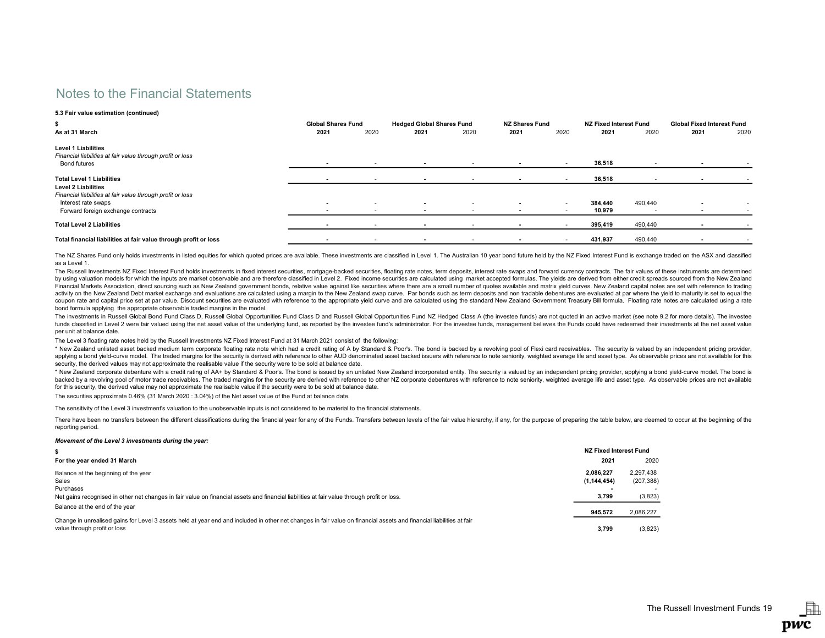### 5.3 Fair value estimation (continued)

| \$                                                                                                              |                          | <b>Global Shares Fund</b> |                          | <b>Hedged Global Shares Fund</b> |                          | <b>NZ Shares Fund</b> |         | NZ Fixed Interest Fund   |                          | <b>Global Fixed Interest Fund</b> |
|-----------------------------------------------------------------------------------------------------------------|--------------------------|---------------------------|--------------------------|----------------------------------|--------------------------|-----------------------|---------|--------------------------|--------------------------|-----------------------------------|
| As at 31 March                                                                                                  | 2021                     | 2020                      | 2021                     | 2020                             | 2021                     | 2020                  | 2021    | 2020                     | 2021                     | 2020                              |
| <b>Level 1 Liabilities</b><br>Financial liabilities at fair value through profit or loss<br><b>Bond futures</b> | $\sim$                   | $\sim$                    | $\overline{\phantom{a}}$ | $\sim$                           | $\overline{\phantom{a}}$ |                       | 36,518  |                          | $\overline{\phantom{a}}$ |                                   |
| <b>Total Level 1 Liabilities</b>                                                                                |                          | $\overline{\phantom{a}}$  | $\overline{\phantom{a}}$ |                                  |                          |                       | 36,518  |                          |                          |                                   |
| <b>Level 2 Liabilities</b>                                                                                      |                          |                           |                          |                                  |                          |                       |         |                          |                          |                                   |
| Financial liabilities at fair value through profit or loss                                                      |                          |                           |                          |                                  |                          |                       |         |                          |                          |                                   |
| Interest rate swaps                                                                                             | $\sim$                   |                           | $\overline{\phantom{a}}$ |                                  |                          | $\sim$                | 384.440 | 490.440                  |                          |                                   |
| Forward foreign exchange contracts                                                                              | $\overline{\phantom{a}}$ | $\overline{\phantom{a}}$  |                          |                                  |                          |                       | 10,979  | $\overline{\phantom{a}}$ |                          |                                   |
| <b>Total Level 2 Liabilities</b>                                                                                |                          |                           |                          |                                  |                          |                       | 395,419 | 490,440                  |                          |                                   |
| Total financial liabilities at fair value through profit or loss                                                | $\sim$                   | $\overline{\phantom{a}}$  | $\sim$                   |                                  |                          |                       | 431,937 | 490,440                  | $\overline{\phantom{a}}$ | $\overline{\phantom{a}}$          |

The NZ Shares Fund only holds investments in listed equities for which quoted prices are available. These investments are classified in Level 1. The Australian 10 year bond future held by the NZ Fixed Interest Fund is exch as a Level 1.

The Russell Investments NZ Fixed Interest Fund holds investments in fixed interest securities, mortgage-backed securities, floating rate notes, term deposits, interest rate swaps and forward currency contracts. The fair va by using valuation models for which the inputs are market observable and are therefore classified in Level 2. Fixed income securities are calculated using market accepted formulas. The yields are derived from either credit Financial Markets Association, direct sourcing such as New Zealand government bonds, relative value against like securities where there are a small number of quotes available and matrix yield curves. New Zealand capital no activity on the New Zealand Debt market exchange and evaluations are calculated using a margin to the New Zealand swap curve. Par bonds such as term deposits and non tradable debentures are evaluated at par where the yield coupon rate and capital price set at par value. Discount securities are evaluated with reference to the appropriate yield curve and are calculated using the standard New Zealand Government Treasury Bill formula. Floating r bond formula applying the appropriate observable traded margins in the model.

The investments in Russell Global Bond Fund Class D, Russell Global Opportunities Fund Class D and Russell Global Opportunities Fund N2 Hedged Class A (the investee funds) are not quoted in an active market (see note 9.2 f funds classified in Level 2 were fair valued using the net asset value of the underlying fund, as reported by the investee fund's administrator. For the investee funds, management believes the Funds could have redeemed the per unit at balance date.

The Level 3 floating rate notes held by the Russell Investments NZ Fixed Interest Fund at 31 March 2021 consist of the following:

\* New Zealand unlisted asset backed medium term corporate floating rate note which had a credit rating of A by Standard & Poor's. The bond is backed by a revolving pool of Flexi card receivables. The security is valued by applying a bond yield-curve model. The traded margins for the security is derived with reference to other AUD denominated asset backed issuers with reference to note seniority, weighted average life and asset type. As obse security, the derived values may not approximate the realisable value if the security were to be sold at balance date.

\* New Zealand corporate debenture with a credit rating of AA+ by Standard & Poor's. The bond is issued by an unlisted New Zealand incorporated entity. The security is valued by an independent pricing provider, applying a b backed by a revolving pool of motor trade receivables. The traded margins for the security are derived with reference to other NZ corporate debentures with reference to note seniority, weighted average life and asset type. for this security, the derived value may not approximate the realisable value if the security were to be sold at balance date.

The securities approximate 0.46% (31 March 2020 : 3.04%) of the Net asset value of the Fund at balance date.

The sensitivity of the Level 3 investment's valuation to the unobservable inputs is not considered to be material to the financial statements.

There have been no transfers between the different classifications during the financial year for any of the Funds. Transfers between levels of the fair value hierarchy, if any, for the purpose of preparing the table below, reporting period.

### Movement of the Level 3 investments during the year:

| For the year ended 31 March                                                                                                                                                                          | 2021          | 2020       |  |  |  |  |  |
|------------------------------------------------------------------------------------------------------------------------------------------------------------------------------------------------------|---------------|------------|--|--|--|--|--|
| Balance at the beginning of the year                                                                                                                                                                 | 2.086.227     | 2.297.438  |  |  |  |  |  |
| Sales                                                                                                                                                                                                | (1, 144, 454) | (207, 388) |  |  |  |  |  |
| Purchases                                                                                                                                                                                            |               |            |  |  |  |  |  |
| Net gains recognised in other net changes in fair value on financial assets and financial liabilities at fair value through profit or loss.                                                          | 3.799         | (3,823)    |  |  |  |  |  |
| Balance at the end of the year                                                                                                                                                                       |               |            |  |  |  |  |  |
|                                                                                                                                                                                                      | 945.572       | 2,086,227  |  |  |  |  |  |
| Change in unrealised gains for Level 3 assets held at year end and included in other net changes in fair value on financial assets and financial liabilities at fair<br>value through profit or loss | 3.799         | (3,823)    |  |  |  |  |  |

駎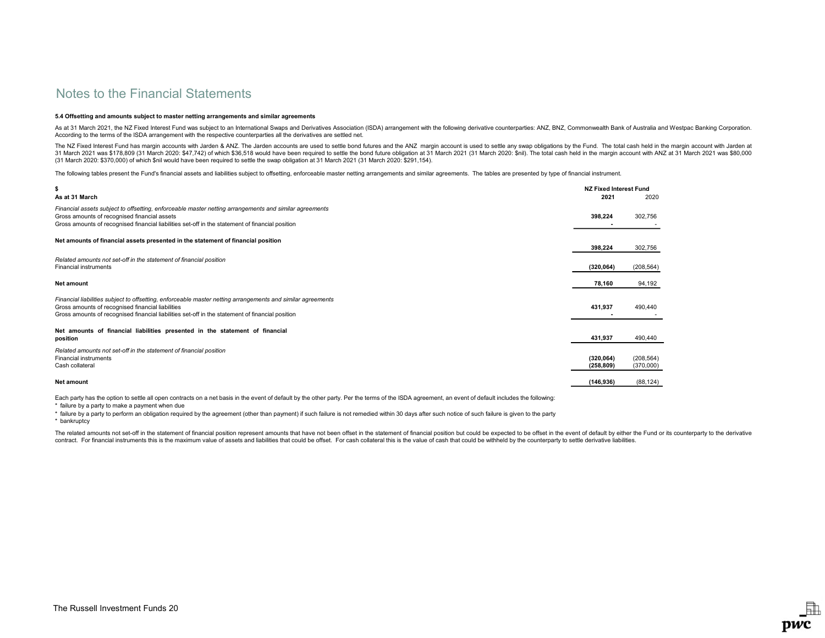### 5.4 Offsetting and amounts subject to master netting arrangements and similar agreements

As at 31 March 2021, the NZ Fixed Interest Fund was subject to an International Swaps and Derivatives Association (ISDA) arrangement with the following derivative counterparties: ANZ, BNZ, Commonwealth Bank of Australia an According to the terms of the ISDA arrangement with the respective counterparties all the derivatives are settled net.

The NZ Fixed Interest Fund has margin accounts with Jarden & ANZ. The Jarden accounts are used to settle bond futures and the ANZ margin account is used to settle any swap obligations by the Fund. The total cash held in th 31 March 2021 was \$178.809 (31 March 2020: \$47.742) of which \$36.518 would have been required to settle the bond future obligation at 31 March 2021 (31 March 2020: \$nil). The total cash held in the margin account with ANZ (31 March 2020: \$370,000) of which \$nil would have been required to settle the swap obligation at 31 March 2021 (31 March 2020: \$291,154).

The following tables present the Fund's financial assets and liabilities subject to offsetting, enforceable master netting arrangements and similar agreements. The tables are presented by type of financial instrument.

| \$                                                                                                                                                                                                                                                                   | <b>NZ Fixed Interest Fund</b> |                         |
|----------------------------------------------------------------------------------------------------------------------------------------------------------------------------------------------------------------------------------------------------------------------|-------------------------------|-------------------------|
| As at 31 March                                                                                                                                                                                                                                                       | 2021                          | 2020                    |
| Financial assets subject to offsetting, enforceable master netting arrangements and similar agreements<br>Gross amounts of recognised financial assets<br>Gross amounts of recognised financial liabilities set-off in the statement of financial position           | 398,224                       | 302,756                 |
| Net amounts of financial assets presented in the statement of financial position                                                                                                                                                                                     | 398,224                       | 302,756                 |
| Related amounts not set-off in the statement of financial position<br><b>Financial instruments</b>                                                                                                                                                                   | (320, 064)                    | (208, 564)              |
| Net amount                                                                                                                                                                                                                                                           | 78,160                        | 94,192                  |
| Financial liabilities subject to offsetting, enforceable master netting arrangements and similar agreements<br>Gross amounts of recognised financial liabilities<br>Gross amounts of recognised financial liabilities set-off in the statement of financial position | 431,937                       | 490,440                 |
| Net amounts of financial liabilities presented in the statement of financial<br>position                                                                                                                                                                             | 431,937                       | 490,440                 |
| Related amounts not set-off in the statement of financial position<br><b>Financial instruments</b><br>Cash collateral                                                                                                                                                | (320, 064)<br>(258, 809)      | (208, 564)<br>(370,000) |
| <b>Net amount</b>                                                                                                                                                                                                                                                    | (146, 936)                    | (88, 124)               |

Each party has the option to settle all open contracts on a net basis in the event of default by the other party. Per the terms of the ISDA agreement, an event of default includes the following:

\* failure by a party to make a payment when due

\* failure by a party to perform an obligation required by the agreement (other than payment) if such failure is not remedied within 30 days after such notice of such failure is given to the party

\* bankruptcy

The related amounts not set-off in the statement of financial position represent amounts that have not been offset in the statement of financial position but could be expected to be offset in the event of default by either contract. For financial instruments this is the maximum value of assets and liabilities that could be offset. For cash collateral this is the value of cash that could be withheld by the counterparty to settle derivative li

駎

pwc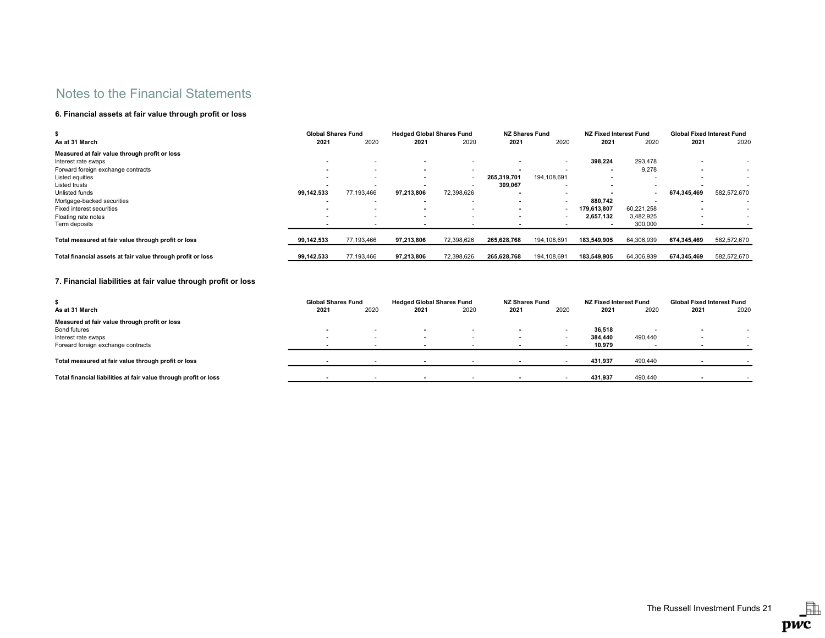## 6. Financial assets at fair value through profit or loss

| s.                                                          | <b>Global Shares Fund</b> |                          | <b>Hedged Global Shares Fund</b> |            | <b>NZ Shares Fund</b> |             | NZ Fixed Interest Fund |            | <b>Global Fixed Interest Fund</b> |             |
|-------------------------------------------------------------|---------------------------|--------------------------|----------------------------------|------------|-----------------------|-------------|------------------------|------------|-----------------------------------|-------------|
| As at 31 March                                              | 2021                      | 2020                     | 2021                             | 2020       | 2021                  | 2020        | 2021                   | 2020       | 2021                              | 2020        |
| Measured at fair value through profit or loss               |                           |                          |                                  |            |                       |             |                        |            |                                   |             |
| Interest rate swaps                                         |                           |                          |                                  |            |                       |             | 398.224                | 293,478    |                                   |             |
| Forward foreign exchange contracts                          |                           | ۰.                       |                                  |            |                       |             |                        | 9,278      | . .                               | ٠           |
| Listed equities                                             |                           |                          |                                  |            | 265.319.701           | 194,108,691 |                        |            |                                   |             |
| Listed trusts                                               |                           |                          |                                  |            | 309,067               |             |                        |            |                                   |             |
| Unlisted funds                                              | 99.142.533                | 77,193,466               | 97.213.806                       | 72,398,626 |                       |             |                        |            | 674.345.469                       | 582,572,670 |
| Mortgage-backed securities                                  |                           |                          |                                  |            |                       | . .         | 880.742                |            |                                   |             |
| Fixed interest securities                                   |                           |                          |                                  |            |                       |             | 179,613,807            | 60,221,258 |                                   | ٠           |
| Floating rate notes                                         | $\overline{\phantom{a}}$  |                          |                                  |            |                       |             | 2,657,132              | 3,482,925  |                                   |             |
| Term deposits                                               |                           | $\overline{\phantom{a}}$ |                                  |            |                       |             |                        | 300,000    |                                   |             |
| Total measured at fair value through profit or loss         | 99,142,533                | 77,193,466               | 97,213,806                       | 72,398,626 | 265,628,768           | 194,108,691 | 183.549.905            | 64,306,939 | 674,345,469                       | 582,572,670 |
| Total financial assets at fair value through profit or loss | 99,142,533                | 77,193,466               | 97,213,806                       | 72,398,626 | 265,628,768           | 194,108,691 | 183,549,905            | 64,306,939 | 674,345,469                       | 582,572,670 |

## 7. Financial liabilities at fair value through profit or loss

|                                                                  | <b>Global Shares Fund</b> |                          | <b>Hedged Global Shares Fund</b> |                          | <b>NZ Shares Fund</b> |      | NZ Fixed Interest Fund |         | <b>Global Fixed Interest Fund</b> |      |
|------------------------------------------------------------------|---------------------------|--------------------------|----------------------------------|--------------------------|-----------------------|------|------------------------|---------|-----------------------------------|------|
| As at 31 March                                                   | 2021                      | 2020                     | 2021                             | 2020                     | 2021                  | 2020 | 2021                   | 2020    | 2021                              | 2020 |
| Measured at fair value through profit or loss                    |                           |                          |                                  |                          |                       |      |                        |         |                                   |      |
| Bond futures                                                     | $\overline{\phantom{a}}$  | $\overline{\phantom{a}}$ | $\overline{\phantom{a}}$         | $\overline{\phantom{a}}$ |                       |      | 36.518                 |         | $\sim$                            |      |
| Interest rate swaps                                              | $\overline{\phantom{a}}$  | $\overline{\phantom{a}}$ | . .                              |                          |                       |      | 384.440                | 490.440 | $\blacksquare$                    |      |
| Forward foreign exchange contracts                               |                           |                          |                                  |                          |                       |      | 10,979                 |         |                                   |      |
|                                                                  |                           |                          |                                  |                          |                       |      |                        |         |                                   |      |
| Total measured at fair value through profit or loss              |                           |                          |                                  |                          |                       |      | 431.937                | 490,440 |                                   |      |
|                                                                  |                           |                          |                                  |                          |                       |      |                        |         |                                   |      |
| Total financial liabilities at fair value through profit or loss |                           |                          |                                  |                          |                       |      | 431,937                | 490,440 |                                   |      |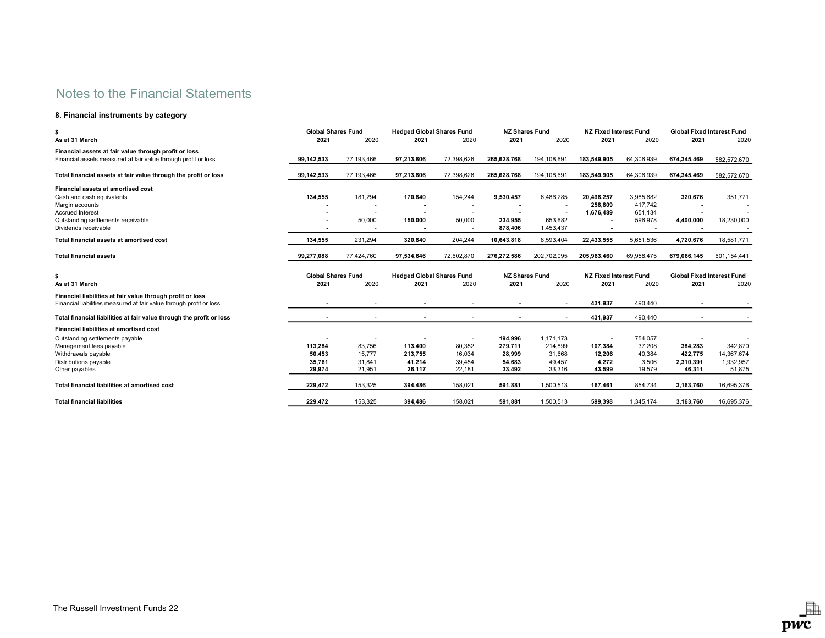## 8. Financial instruments by category

| \$                                                                                                                                | <b>Global Shares Fund</b> |            | <b>Hedged Global Shares Fund</b> |            | <b>NZ Shares Fund</b> |                      | <b>NZ Fixed Interest Fund</b> |            | <b>Global Fixed Interest Fund</b> |             |
|-----------------------------------------------------------------------------------------------------------------------------------|---------------------------|------------|----------------------------------|------------|-----------------------|----------------------|-------------------------------|------------|-----------------------------------|-------------|
| As at 31 March                                                                                                                    | 2021                      | 2020       | 2021                             | 2020       | 2021                  | 2020                 | 2021                          | 2020       | 2021                              | 2020        |
| Financial assets at fair value through profit or loss                                                                             |                           |            |                                  |            |                       |                      |                               |            |                                   |             |
| Financial assets measured at fair value through profit or loss                                                                    | 99,142,533                | 77,193,466 | 97.213.806                       | 72,398,626 | 265.628.768           | 194,108,691          | 183.549.905                   | 64,306,939 | 674,345,469                       | 582,572,670 |
| Total financial assets at fair value through the profit or loss                                                                   | 99,142,533                | 77,193,466 | 97.213.806                       | 72,398,626 | 265.628.768           | 194,108,691          | 183.549.905                   | 64,306,939 | 674,345,469                       | 582,572,670 |
| Financial assets at amortised cost                                                                                                |                           |            |                                  |            |                       |                      |                               |            |                                   |             |
| Cash and cash equivalents                                                                                                         | 134,555                   | 181,294    | 170,840                          | 154,244    | 9,530,457             | 6,486,285            | 20,498,257                    | 3,985,682  | 320,676                           | 351,771     |
| Margin accounts                                                                                                                   |                           |            |                                  |            |                       |                      | 258,809                       | 417,742    |                                   |             |
| <b>Accrued Interest</b>                                                                                                           |                           |            |                                  |            |                       |                      | 1,676,489                     | 651,134    |                                   |             |
| Outstanding settlements receivable<br>Dividends receivable                                                                        |                           | 50,000     | 150,000                          | 50,000     | 234,955<br>878,406    | 653,682<br>1,453,437 |                               | 596,978    | 4,400,000                         | 18,230,000  |
| Total financial assets at amortised cost                                                                                          | 134,555                   | 231,294    | 320,840                          | 204,244    | 10,643,818            | 8,593,404            | 22,433,555                    | 5,651,536  | 4,720,676                         | 18,581,771  |
| <b>Total financial assets</b>                                                                                                     | 99,277,088                | 77,424,760 | 97,534,646                       | 72,602,870 | 276,272,586           | 202,702,095          | 205,983,460                   | 69,958,475 | 679,066,145                       | 601,154,441 |
| \$                                                                                                                                | <b>Global Shares Fund</b> |            | <b>Hedged Global Shares Fund</b> |            | <b>NZ Shares Fund</b> |                      | <b>NZ Fixed Interest Fund</b> |            | <b>Global Fixed Interest Fund</b> |             |
| As at 31 March                                                                                                                    | 2021                      | 2020       | 2021                             | 2020       | 2021                  | 2020                 | 2021                          | 2020       | 2021                              | 2020        |
| Financial liabilities at fair value through profit or loss<br>Financial liabilities measured at fair value through profit or loss |                           |            |                                  |            |                       |                      | 431,937                       | 490,440    |                                   |             |
| Total financial liabilities at fair value through the profit or loss                                                              |                           |            |                                  |            |                       |                      | 431,937                       | 490,440    |                                   |             |
| <b>Financial liabilities at amortised cost</b>                                                                                    |                           |            |                                  |            |                       |                      |                               |            |                                   |             |
| Outstanding settlements payable                                                                                                   |                           |            |                                  |            | 194,996               | 1,171,173            | $\blacksquare$                | 754,057    |                                   |             |
| Management fees payable                                                                                                           | 113.284                   | 83,756     | 113.400                          | 80,352     | 279.711               | 214.899              | 107,384                       | 37,208     | 384,283                           | 342,870     |
| Withdrawals payable                                                                                                               | 50,453                    | 15,777     | 213,755                          | 16,034     | 28,999                | 31,668               | 12,206                        | 40,384     | 422,775                           | 14,367,674  |
| Distributions payable                                                                                                             | 35,761                    | 31,841     | 41,214                           | 39,454     | 54,683                | 49,457               | 4,272                         | 3,506      | 2,310,391                         | 1,932,957   |
| Other payables                                                                                                                    | 29,974                    | 21,951     | 26,117                           | 22,181     | 33,492                | 33,316               | 43,599                        | 19,579     | 46,311                            | 51,875      |
| Total financial liabilities at amortised cost                                                                                     | 229.472                   | 153,325    | 394.486                          | 158.021    | 591.881               | 1.500.513            | 167.461                       | 854.734    | 3,163,760                         | 16,695,376  |
| <b>Total financial liabilities</b>                                                                                                | 229,472                   | 153,325    | 394,486                          | 158,021    | 591,881               | 1,500,513            | 599,398                       | 1,345,174  | 3,163,760                         | 16,695,376  |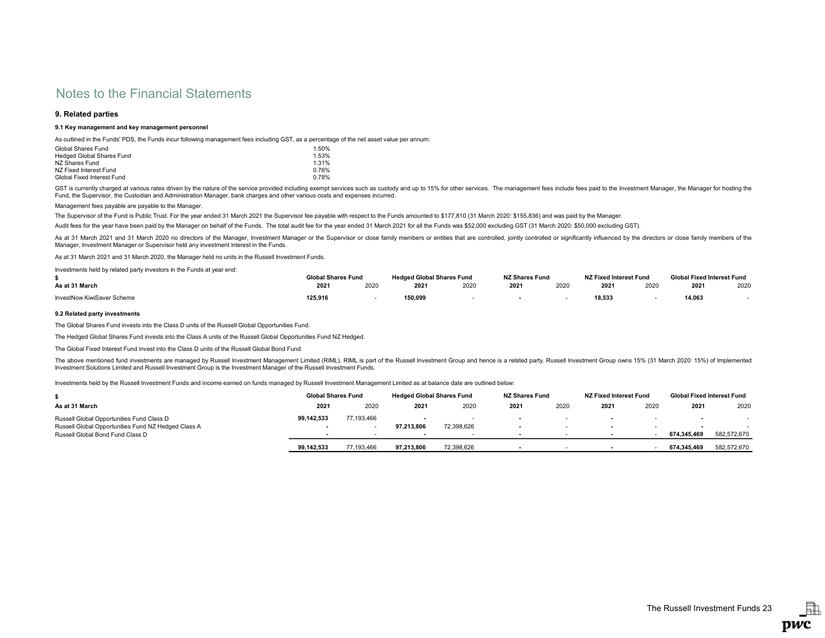## 9. Related parties

## 9.1 Key management and key management personnel

As outlined in the Funds' PDS, the Funds incur following management fees including GST, as a percentage of the net asset value per annum:

| Global Shares Fund         | 1.50% |
|----------------------------|-------|
| Hedged Global Shares Fund  | 1.53% |
| NZ Shares Fund             | 1.31% |
| NZ Fixed Interest Fund     | 0.76% |
| Global Fixed Interest Fund | 0.78% |

GST is currently charged at various rates driven by the nature of the service provided including exempt services such as custody and up to 15% for other services. The management fees include fees paid to the Investment Man Fund, the Supervisor, the Custodian and Administration Manager, bank charges and other various costs and expenses incurred.

Management fees payable are payable to the Manager.

The Supervisor of the Fund is Public Trust. For the year ended 31 March 2021 the Supervisor fee payable with respect to the Funds amounted to \$177,810 (31 March 2020: \$155,836) and was paid by the Manager.

Audit fees for the year have been paid by the Manager on behalf of the Funds. The total audit fee for the year ended 31 March 2021 for all the Funds was \$52,000 excluding GST (31 March 2020: \$50,000 excluding GST).

As at 31 March 2021 and 31 March 2020 no directors of the Manager, Investment Manager or the Supervisor or close family members or entities that are controlled, jointly controlled or significantly influenced by the directo Manager, Investment Manager or Supervisor held any investment interest in the Funds.

As at 31 March 2021 and 31 March 2020, the Manager held no units in the Russell Investment Funds.

Investments held by related party investors in the Funds at year end:

|                            | Global Shares Fund |      | <b>Hedged Global Shares Fund</b> |      | <b>NZ Shares Fund</b> |      | NZ Fixed Interest Fund |      | Global Fixed Interest Fund |      |
|----------------------------|--------------------|------|----------------------------------|------|-----------------------|------|------------------------|------|----------------------------|------|
| As at 31 March             | 2021               | 2020 | 2021                             | 2020 | 2021                  | 2020 | $202^{\circ}$          | 2020 | 2021                       | 2020 |
| InvestNow KiwiSaver Scheme | 125.916            |      | 150,099                          |      |                       |      | 18,533                 |      | 14,063                     |      |

### 9.2 Related party investments

The Global Shares Fund invests into the Class D units of the Russell Global Opportunities Fund.

The Hedged Global Shares Fund invests into the Class A units of the Russell Global Opportunities Fund NZ Hedged.

The Global Fixed Interest Fund invest into the Class D units of the Russell Global Bond Fund.

The above mentioned fund investments are managed by Russell Investment Management Limited (RIML). RIML is part of the Russell Investment Group and hence is a related party. Russell Investment Group owns 15% (31 March 2020: Investment Solutions Limited and Russell Investment Group is the Investment Manager of the Russell Investment Funds.

Investments held by the Russell Investment Funds and income earned on funds managed by Russell Investment Management Limited as at balance date are outlined below:

|                                                                                                  | <b>Global Shares Fund</b> |            | <b>Hedged Global Shares Fund</b> |            | <b>NZ Shares Fund</b> |      | NZ Fixed Interest Fund   |      | <b>Global Fixed Interest Fund</b> |             |
|--------------------------------------------------------------------------------------------------|---------------------------|------------|----------------------------------|------------|-----------------------|------|--------------------------|------|-----------------------------------|-------------|
| As at 31 March                                                                                   | 2021                      | 2020       | 2021                             | 2020       | 2021                  | 2020 | 2021                     | 2020 | $202^{\circ}$                     | 2020        |
| Russell Global Opportunities Fund Class D<br>Russell Global Opportunities Fund NZ Hedged Class A | 99.142.533                | 77.193.466 | 97.213.806                       | 72,398,626 |                       |      | $\overline{\phantom{a}}$ |      |                                   |             |
| Russell Global Bond Fund Class D                                                                 |                           |            |                                  |            |                       |      |                          |      | 674.345.469                       | 582.572.670 |
|                                                                                                  | 99.142.533                | 77.193.466 | 97.213.806                       | 72,398,626 | . .                   |      |                          |      | 674.345.469                       | 582.572.670 |

駎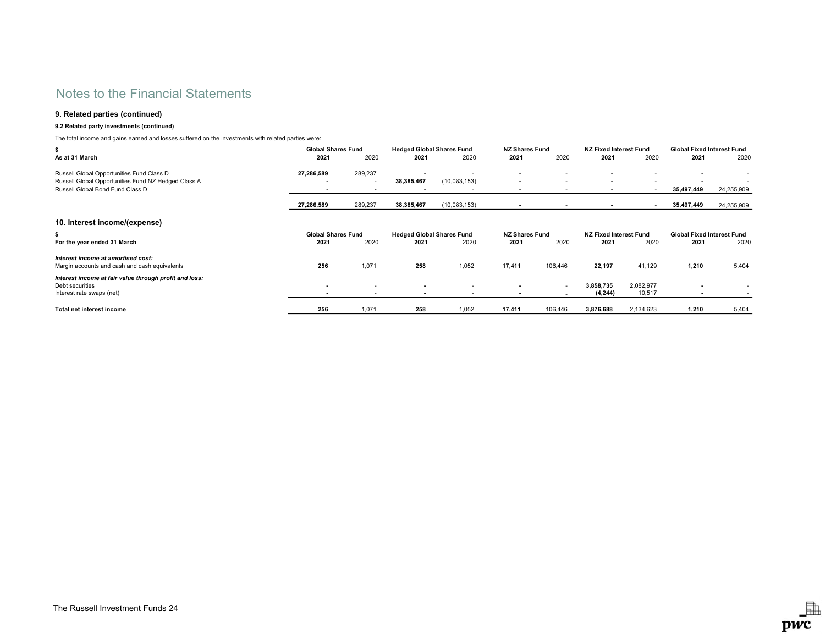## 9. Related parties (continued)

## 9.2 Related party investments (continued)

The total income and gains earned and losses suffered on the investments with related parties were:

| \$                                                                                  | <b>Global Shares Fund</b> |         | <b>Hedged Global Shares Fund</b> |              | <b>NZ Shares Fund</b> |         | <b>NZ Fixed Interest Fund</b> |           | <b>Global Fixed Interest Fund</b> |            |
|-------------------------------------------------------------------------------------|---------------------------|---------|----------------------------------|--------------|-----------------------|---------|-------------------------------|-----------|-----------------------------------|------------|
| As at 31 March                                                                      | 2021                      | 2020    | 2021                             | 2020         | 2021                  | 2020    | 2021                          | 2020      | 2021                              | 2020       |
| Russell Global Opportunities Fund Class D                                           | 27,286,589                | 289,237 |                                  |              |                       |         |                               |           |                                   |            |
| Russell Global Opportunities Fund NZ Hedged Class A                                 | $\overline{\phantom{a}}$  | ٠       | 38,385,467                       | (10,083,153) |                       | . .     | $\overline{\phantom{0}}$      |           |                                   |            |
| Russell Global Bond Fund Class D                                                    |                           | ۰       |                                  |              |                       |         |                               | $\sim$    | 35,497,449                        | 24,255,909 |
|                                                                                     | 27,286,589                | 289,237 | 38,385,467                       | (10,083,153) |                       |         |                               |           | 35,497,449                        | 24,255,909 |
| 10. Interest income/(expense)                                                       |                           |         |                                  |              |                       |         |                               |           |                                   |            |
| \$                                                                                  | <b>Global Shares Fund</b> |         | <b>Hedged Global Shares Fund</b> |              | <b>NZ Shares Fund</b> |         | NZ Fixed Interest Fund        |           | <b>Global Fixed Interest Fund</b> |            |
| For the year ended 31 March                                                         | 2021                      | 2020    | 2021                             | 2020         | 2021                  | 2020    | 2021                          | 2020      | 2021                              | 2020       |
| Interest income at amortised cost:<br>Margin accounts and cash and cash equivalents | 256                       | 1,071   | 258                              | 1,052        | 17,411                | 106,446 | 22,197                        | 41,129    | 1,210                             | 5,404      |
| Interest income at fair value through profit and loss:<br>Debt securities           | $\overline{\phantom{a}}$  | ٠       |                                  |              |                       | $\sim$  | 3,858,735                     | 2,082,977 |                                   |            |
| Interest rate swaps (net)                                                           |                           | ٠       | $\overline{\phantom{a}}$         |              |                       |         | (4, 244)                      | 10,517    | $\overline{\phantom{a}}$          |            |
| Total net interest income                                                           | 256                       | 1,071   | 258                              | 1,052        | 17,411                | 106,446 | 3,876,688                     | 2,134,623 | 1,210                             | 5,404      |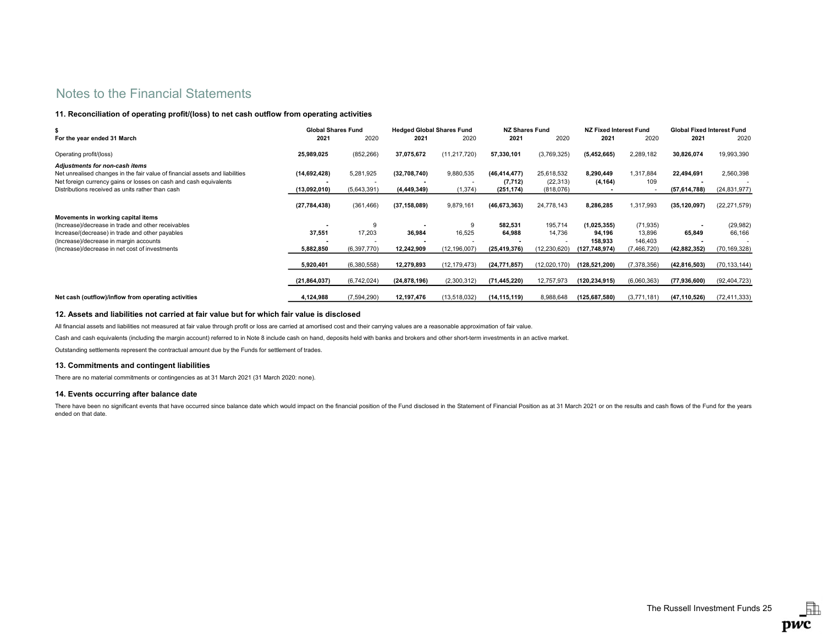## 11. Reconciliation of operating profit/(loss) to net cash outflow from operating activities

|                                                                                                                                                                                                                                         | <b>Global Shares Fund</b>    |                          | <b>Hedged Global Shares Fund</b> |                       | <b>NZ Shares Fund</b>                    |                                      | NZ Fixed Interest Fund           |                                | <b>Global Fixed Interest Fund</b> |                             |
|-----------------------------------------------------------------------------------------------------------------------------------------------------------------------------------------------------------------------------------------|------------------------------|--------------------------|----------------------------------|-----------------------|------------------------------------------|--------------------------------------|----------------------------------|--------------------------------|-----------------------------------|-----------------------------|
| For the year ended 31 March                                                                                                                                                                                                             | 2021                         | 2020                     | 2021                             | 2020                  | 2021                                     | 2020                                 | 2021                             | 2020                           | 2021                              | 2020                        |
| Operating profit/(loss)                                                                                                                                                                                                                 | 25,989,025                   | (852, 266)               | 37,075,672                       | (11, 217, 720)        | 57,330,101                               | (3,769,325)                          | (5,452,665)                      | 2,289,182                      | 30,826,074                        | 19,993,390                  |
| Adjustments for non-cash items<br>Net unrealised changes in the fair value of financial assets and liabilities<br>Net foreign currency gains or losses on cash and cash equivalents<br>Distributions received as units rather than cash | (14,692,428)<br>(13,092,010) | 5,281,925<br>(5,643,391) | (32,708,740)<br>(4, 449, 349)    | 9,880,535<br>(1, 374) | (46, 414, 477)<br>(7, 712)<br>(251, 174) | 25,618,532<br>(22, 313)<br>(818,076) | 8,290,449<br>(4, 164)            | 1,317,884<br>109               | 22,494,691<br>(57,614,788)        | 2,560,398<br>(24, 831, 977) |
|                                                                                                                                                                                                                                         | (27, 784, 438)               | (361, 466)               | (37, 158, 089)                   | 9,879,161             | (46, 673, 363)                           | 24,778,143                           | 8.286.285                        | 1,317,993                      | (35, 120, 097)                    | (22, 271, 579)              |
| Movements in working capital items<br>(Increase)/decrease in trade and other receivables<br>Increase/(decrease) in trade and other payables<br>(Increase)/decrease in margin accounts                                                   | 37,551                       | 9<br>17,203              | 36,984                           | 9<br>16,525           | 582,531<br>64,988                        | 195,714<br>14,736                    | (1,025,355)<br>94,196<br>158,933 | (71, 935)<br>13,896<br>146,403 | 65,849                            | (29, 982)<br>66,166         |
| (Increase)/decrease in net cost of investments                                                                                                                                                                                          | 5,882,850                    | (6,397,770)              | 12,242,909                       | (12, 196, 007)        | (25, 419, 376)                           | (12, 230, 620)                       | (127,748,974)                    | (7,466,720)                    | (42, 882, 352)                    | (70, 169, 328)              |
|                                                                                                                                                                                                                                         | 5,920,401                    | (6,380,558)              | 12,279,893                       | (12, 179, 473)        | (24, 771, 857)                           | (12,020,170)                         | (128, 521, 200)                  | (7, 378, 356)                  | (42, 816, 503)                    | (70, 133, 144)              |
|                                                                                                                                                                                                                                         | (21, 864, 037)               | (6,742,024)              | (24, 878, 196)                   | (2,300,312)           | (71, 445, 220)                           | 12,757,973                           | (120, 234, 915)                  | (6,060,363)                    | (77, 936, 600)                    | (92, 404, 723)              |
| Net cash (outflow)/inflow from operating activities                                                                                                                                                                                     | 4,124,988                    | (7,594,290)              | 12,197,476                       | (13,518,032)          | (14,115,119)                             | 8,988,648                            | (125.687.580)                    | (3,771,181)                    | (47.110.526)                      | (72, 411, 333)              |

## 12. Assets and liabilities not carried at fair value but for which fair value is disclosed

All financial assets and liabilities not measured at fair value through profit or loss are carried at amortised cost and their carrying values are a reasonable approximation of fair value.

Cash and cash equivalents (including the margin account) referred to in Note 8 include cash on hand, deposits held with banks and brokers and other short-term investments in an active market.

Outstanding settlements represent the contractual amount due by the Funds for settlement of trades.

## 13. Commitments and contingent liabilities

There are no material commitments or contingencies as at 31 March 2021 (31 March 2020: none).

## 14. Events occurring after balance date

There have been no significant events that have occurred since balance date which would impact on the financial position of the Fund disclosed in the Statement of Financial Position as at 31 March 2021 or on the results an ended on that date.

虛 pwc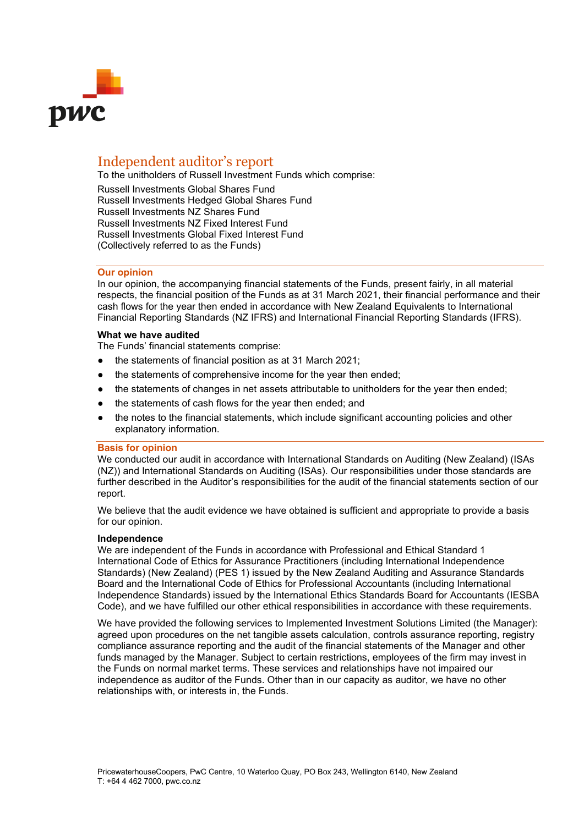

# Independent auditor's report

To the unitholders of Russell Investment Funds which comprise:

Russell Investments Global Shares Fund Russell Investments Hedged Global Shares Fund Russell Investments NZ Shares Fund Russell Investments NZ Fixed Interest Fund Russell Investments Global Fixed Interest Fund (Collectively referred to as the Funds)

## **Our opinion**

In our opinion, the accompanying financial statements of the Funds, present fairly, in all material respects, the financial position of the Funds as at 31 March 2021, their financial performance and their cash flows for the year then ended in accordance with New Zealand Equivalents to International Financial Reporting Standards (NZ IFRS) and International Financial Reporting Standards (IFRS).

## **What we have audited**

The Funds' financial statements comprise:

- the statements of financial position as at 31 March 2021;
- the statements of comprehensive income for the year then ended;
- the statements of changes in net assets attributable to unitholders for the year then ended;
- the statements of cash flows for the year then ended; and
- the notes to the financial statements, which include significant accounting policies and other explanatory information.

## **Basis for opinion**

We conducted our audit in accordance with International Standards on Auditing (New Zealand) (ISAs (NZ)) and International Standards on Auditing (ISAs). Our responsibilities under those standards are further described in the Auditor's responsibilities for the audit of the financial statements section of our report.

We believe that the audit evidence we have obtained is sufficient and appropriate to provide a basis for our opinion.

## **Independence**

We are independent of the Funds in accordance with Professional and Ethical Standard 1 International Code of Ethics for Assurance Practitioners (including International Independence Standards) (New Zealand) (PES 1) issued by the New Zealand Auditing and Assurance Standards Board and the International Code of Ethics for Professional Accountants (including International Independence Standards) issued by the International Ethics Standards Board for Accountants (IESBA Code), and we have fulfilled our other ethical responsibilities in accordance with these requirements.

We have provided the following services to Implemented Investment Solutions Limited (the Manager): agreed upon procedures on the net tangible assets calculation, controls assurance reporting, registry compliance assurance reporting and the audit of the financial statements of the Manager and other funds managed by the Manager. Subject to certain restrictions, employees of the firm may invest in the Funds on normal market terms. These services and relationships have not impaired our independence as auditor of the Funds. Other than in our capacity as auditor, we have no other relationships with, or interests in, the Funds.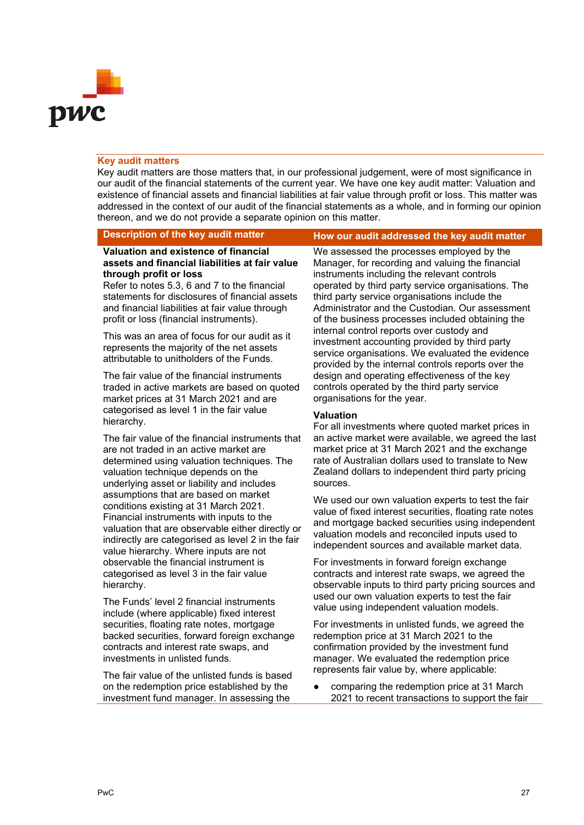

## **Key audit matters**

Key audit matters are those matters that, in our professional judgement, were of most significance in our audit of the financial statements of the current year. We have one key audit matter: Valuation and existence of financial assets and financial liabilities at fair value through profit or loss. This matter was addressed in the context of our audit of the financial statements as a whole, and in forming our opinion thereon, and we do not provide a separate opinion on this matter.

## **Valuation and existence of financial assets and financial liabilities at fair value through profit or loss**

Refer to notes 5.3, 6 and 7 to the financial statements for disclosures of financial assets and financial liabilities at fair value through profit or loss (financial instruments).

This was an area of focus for our audit as it represents the majority of the net assets attributable to unitholders of the Funds.

The fair value of the financial instruments traded in active markets are based on quoted market prices at 31 March 2021 and are categorised as level 1 in the fair value hierarchy.

The fair value of the financial instruments that are not traded in an active market are determined using valuation techniques. The valuation technique depends on the underlying asset or liability and includes assumptions that are based on market conditions existing at 31 March 2021. Financial instruments with inputs to the valuation that are observable either directly or indirectly are categorised as level 2 in the fair value hierarchy. Where inputs are not observable the financial instrument is categorised as level 3 in the fair value hierarchy.

The Funds' level 2 financial instruments include (where applicable) fixed interest securities, floating rate notes, mortgage backed securities, forward foreign exchange contracts and interest rate swaps, and investments in unlisted funds.

The fair value of the unlisted funds is based on the redemption price established by the investment fund manager. In assessing the

## **Description of the key audit matter How our audit addressed the key audit matter**

We assessed the processes employed by the Manager, for recording and valuing the financial instruments including the relevant controls operated by third party service organisations. The third party service organisations include the Administrator and the Custodian. Our assessment of the business processes included obtaining the internal control reports over custody and investment accounting provided by third party service organisations. We evaluated the evidence provided by the internal controls reports over the design and operating effectiveness of the key controls operated by the third party service organisations for the year.

## **Valuation**

For all investments where quoted market prices in an active market were available, we agreed the last market price at 31 March 2021 and the exchange rate of Australian dollars used to translate to New Zealand dollars to independent third party pricing sources.

We used our own valuation experts to test the fair value of fixed interest securities, floating rate notes and mortgage backed securities using independent valuation models and reconciled inputs used to independent sources and available market data.

For investments in forward foreign exchange contracts and interest rate swaps, we agreed the observable inputs to third party pricing sources and used our own valuation experts to test the fair value using independent valuation models.

For investments in unlisted funds, we agreed the redemption price at 31 March 2021 to the confirmation provided by the investment fund manager. We evaluated the redemption price represents fair value by, where applicable:

● comparing the redemption price at 31 March 2021 to recent transactions to support the fair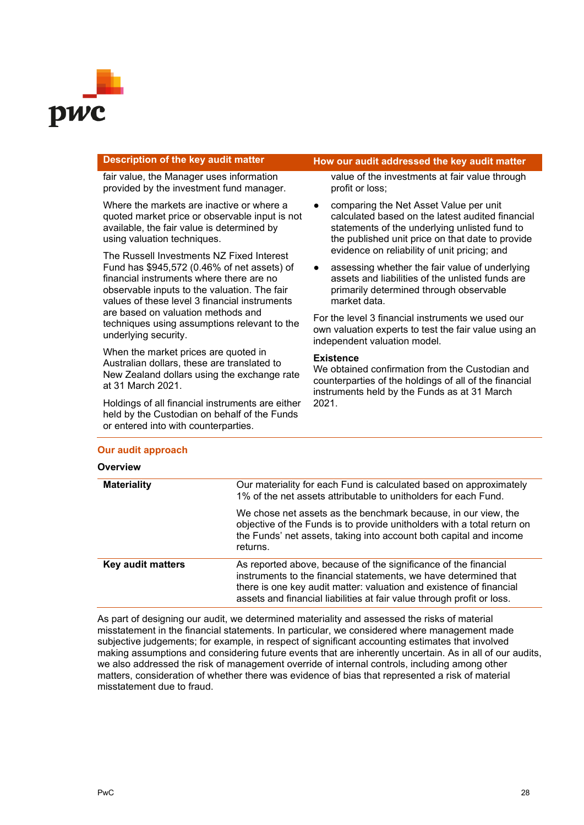

fair value, the Manager uses information provided by the investment fund manager.

Where the markets are inactive or where a quoted market price or observable input is not available, the fair value is determined by using valuation techniques.

The Russell Investments NZ Fixed Interest Fund has \$945,572 (0.46% of net assets) of financial instruments where there are no observable inputs to the valuation. The fair values of these level 3 financial instruments are based on valuation methods and techniques using assumptions relevant to the underlying security.

When the market prices are quoted in Australian dollars, these are translated to New Zealand dollars using the exchange rate at 31 March 2021.

Holdings of all financial instruments are either held by the Custodian on behalf of the Funds or entered into with counterparties.

## **Description of the key audit matter How our audit addressed the key audit matter**

value of the investments at fair value through profit or loss;

- comparing the Net Asset Value per unit calculated based on the latest audited financial statements of the underlying unlisted fund to the published unit price on that date to provide evidence on reliability of unit pricing; and
- assessing whether the fair value of underlying assets and liabilities of the unlisted funds are primarily determined through observable market data.

For the level 3 financial instruments we used our own valuation experts to test the fair value using an independent valuation model.

## **Existence**

We obtained confirmation from the Custodian and counterparties of the holdings of all of the financial instruments held by the Funds as at 31 March 2021.

| <b>Overview</b>    |                                                                                                                                                                                                                                                                                      |
|--------------------|--------------------------------------------------------------------------------------------------------------------------------------------------------------------------------------------------------------------------------------------------------------------------------------|
| <b>Materiality</b> | Our materiality for each Fund is calculated based on approximately<br>1% of the net assets attributable to unitholders for each Fund.                                                                                                                                                |
|                    | We chose net assets as the benchmark because, in our view, the<br>objective of the Funds is to provide unitholders with a total return on<br>the Funds' net assets, taking into account both capital and income<br>returns.                                                          |
| Key audit matters  | As reported above, because of the significance of the financial<br>instruments to the financial statements, we have determined that<br>there is one key audit matter: valuation and existence of financial<br>assets and financial liabilities at fair value through profit or loss. |

As part of designing our audit, we determined materiality and assessed the risks of material misstatement in the financial statements. In particular, we considered where management made subjective judgements; for example, in respect of significant accounting estimates that involved making assumptions and considering future events that are inherently uncertain. As in all of our audits, we also addressed the risk of management override of internal controls, including among other matters, consideration of whether there was evidence of bias that represented a risk of material misstatement due to fraud.

## **Our audit approach**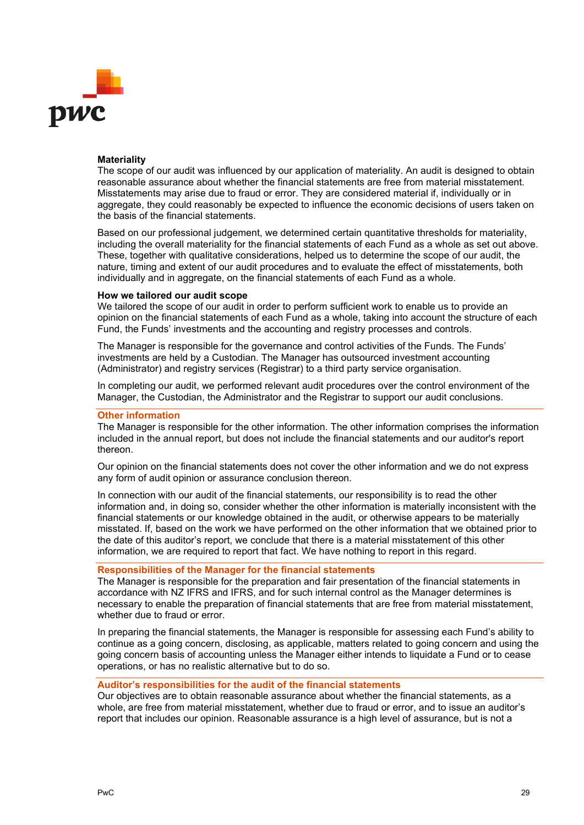

## **Materiality**

The scope of our audit was influenced by our application of materiality. An audit is designed to obtain reasonable assurance about whether the financial statements are free from material misstatement. Misstatements may arise due to fraud or error. They are considered material if, individually or in aggregate, they could reasonably be expected to influence the economic decisions of users taken on the basis of the financial statements.

Based on our professional judgement, we determined certain quantitative thresholds for materiality, including the overall materiality for the financial statements of each Fund as a whole as set out above. These, together with qualitative considerations, helped us to determine the scope of our audit, the nature, timing and extent of our audit procedures and to evaluate the effect of misstatements, both individually and in aggregate, on the financial statements of each Fund as a whole.

## **How we tailored our audit scope**

We tailored the scope of our audit in order to perform sufficient work to enable us to provide an opinion on the financial statements of each Fund as a whole, taking into account the structure of each Fund, the Funds' investments and the accounting and registry processes and controls.

The Manager is responsible for the governance and control activities of the Funds. The Funds' investments are held by a Custodian. The Manager has outsourced investment accounting (Administrator) and registry services (Registrar) to a third party service organisation.

In completing our audit, we performed relevant audit procedures over the control environment of the Manager, the Custodian, the Administrator and the Registrar to support our audit conclusions.

## **Other information**

The Manager is responsible for the other information. The other information comprises the information included in the annual report, but does not include the financial statements and our auditor's report thereon.

Our opinion on the financial statements does not cover the other information and we do not express any form of audit opinion or assurance conclusion thereon.

In connection with our audit of the financial statements, our responsibility is to read the other information and, in doing so, consider whether the other information is materially inconsistent with the financial statements or our knowledge obtained in the audit, or otherwise appears to be materially misstated. If, based on the work we have performed on the other information that we obtained prior to the date of this auditor's report, we conclude that there is a material misstatement of this other information, we are required to report that fact. We have nothing to report in this regard.

## **Responsibilities of the Manager for the financial statements**

The Manager is responsible for the preparation and fair presentation of the financial statements in accordance with NZ IFRS and IFRS, and for such internal control as the Manager determines is necessary to enable the preparation of financial statements that are free from material misstatement, whether due to fraud or error.

In preparing the financial statements, the Manager is responsible for assessing each Fund's ability to continue as a going concern, disclosing, as applicable, matters related to going concern and using the going concern basis of accounting unless the Manager either intends to liquidate a Fund or to cease operations, or has no realistic alternative but to do so.

## **Auditor's responsibilities for the audit of the financial statements**

Our objectives are to obtain reasonable assurance about whether the financial statements, as a whole, are free from material misstatement, whether due to fraud or error, and to issue an auditor's report that includes our opinion. Reasonable assurance is a high level of assurance, but is not a